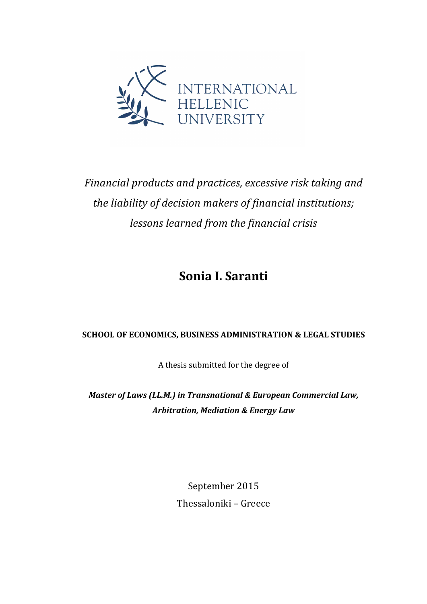

*Financial products and practices, excessive risk taking and* the liability of decision makers of financial institutions; *lessons learned from the financial crisis*

**Sonia I. Saranti**

### SCHOOL OF ECONOMICS, BUSINESS ADMINISTRATION & LEGAL STUDIES

A thesis submitted for the degree of

*Master of Laws (LL.M.) in Transnational & European Commercial Law,* **Arbitration, Mediation & Energy Law** 

> September 2015 Thessaloniki - Greece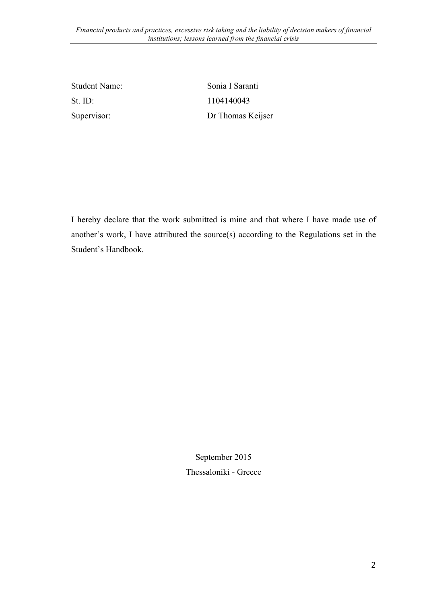St. ID: 1104140043

Student Name: Sonia I Saranti Supervisor: Dr Thomas Keijser

I hereby declare that the work submitted is mine and that where I have made use of another's work, I have attributed the source(s) according to the Regulations set in the Student's Handbook.

> September 2015 Thessaloniki - Greece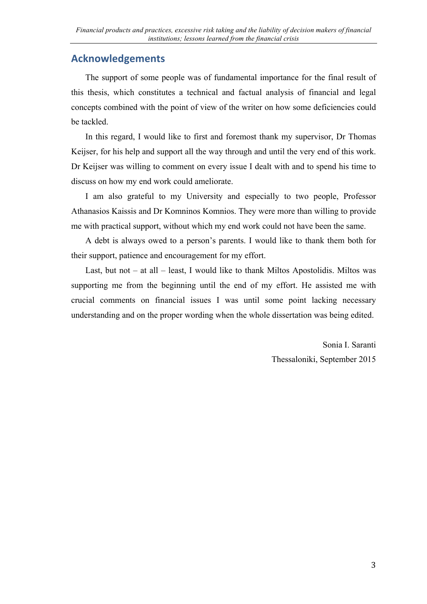### **Acknowledgements**

The support of some people was of fundamental importance for the final result of this thesis, which constitutes a technical and factual analysis of financial and legal concepts combined with the point of view of the writer on how some deficiencies could be tackled.

In this regard, I would like to first and foremost thank my supervisor, Dr Thomas Keijser, for his help and support all the way through and until the very end of this work. Dr Keijser was willing to comment on every issue I dealt with and to spend his time to discuss on how my end work could ameliorate.

I am also grateful to my University and especially to two people, Professor Athanasios Kaissis and Dr Komninos Komnios. They were more than willing to provide me with practical support, without which my end work could not have been the same.

A debt is always owed to a person's parents. I would like to thank them both for their support, patience and encouragement for my effort.

Last, but not – at all – least, I would like to thank Miltos Apostolidis. Miltos was supporting me from the beginning until the end of my effort. He assisted me with crucial comments on financial issues I was until some point lacking necessary understanding and on the proper wording when the whole dissertation was being edited.

> Sonia I. Saranti Thessaloniki, September 2015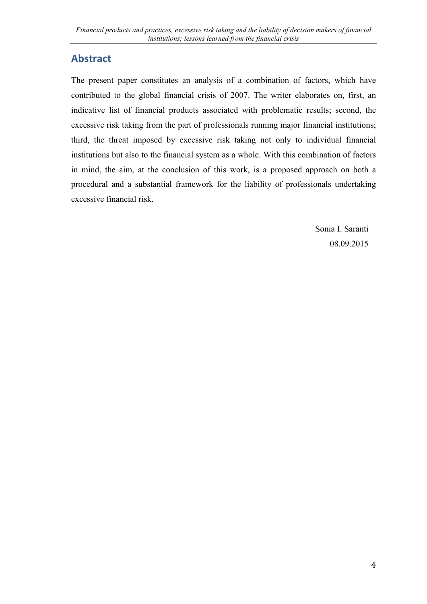## **Abstract**

The present paper constitutes an analysis of a combination of factors, which have contributed to the global financial crisis of 2007. The writer elaborates on, first, an indicative list of financial products associated with problematic results; second, the excessive risk taking from the part of professionals running major financial institutions; third, the threat imposed by excessive risk taking not only to individual financial institutions but also to the financial system as a whole. With this combination of factors in mind, the aim, at the conclusion of this work, is a proposed approach on both a procedural and a substantial framework for the liability of professionals undertaking excessive financial risk.

> Sonia I. Saranti 08.09.2015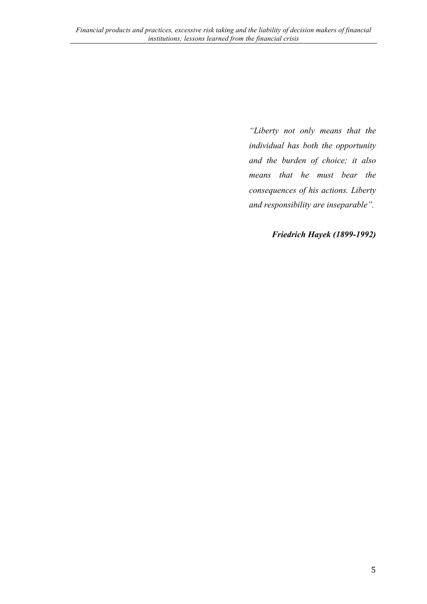*"Liberty not only means that the individual has both the opportunity and the burden of choice; it also means that he must bear the consequences of his actions. Liberty and responsibility are inseparable".*

*Friedrich Hayek (1899-1992)*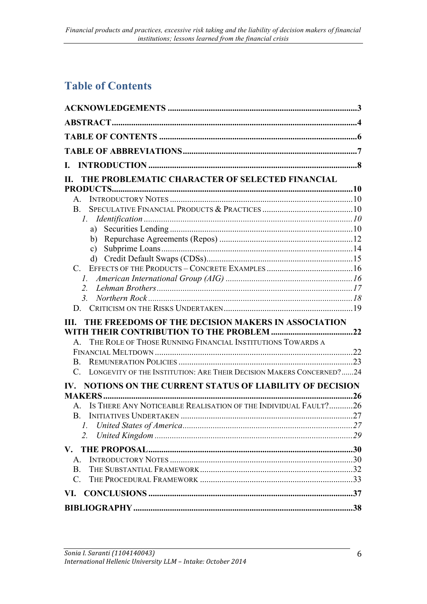# **Table of Contents**

| L.                                                                                  |  |
|-------------------------------------------------------------------------------------|--|
| THE PROBLEMATIC CHARACTER OF SELECTED FINANCIAL                                     |  |
|                                                                                     |  |
|                                                                                     |  |
| $\mathbf{B}$ .                                                                      |  |
|                                                                                     |  |
|                                                                                     |  |
|                                                                                     |  |
| c)                                                                                  |  |
|                                                                                     |  |
|                                                                                     |  |
|                                                                                     |  |
| 2.                                                                                  |  |
| 3 <sub>l</sub>                                                                      |  |
|                                                                                     |  |
| THE FREEDOMS OF THE DECISION MAKERS IN ASSOCIATION<br>III.                          |  |
|                                                                                     |  |
| A. THE ROLE OF THOSE RUNNING FINANCIAL INSTITUTIONS TOWARDS A                       |  |
|                                                                                     |  |
| B.                                                                                  |  |
| LONGEVITY OF THE INSTITUTION: ARE THEIR DECISION MAKERS CONCERNED?24<br>$C_{\cdot}$ |  |
| IV. NOTIONS ON THE CURRENT STATUS OF LIABILITY OF DECISION                          |  |
|                                                                                     |  |
| A. IS THERE ANY NOTICEABLE REALISATION OF THE INDIVIDUAL FAULT?26                   |  |
|                                                                                     |  |
|                                                                                     |  |
| 2.                                                                                  |  |
|                                                                                     |  |
| $A_{-}$                                                                             |  |
| <b>B.</b>                                                                           |  |
| $C_{\cdot}$                                                                         |  |
|                                                                                     |  |
|                                                                                     |  |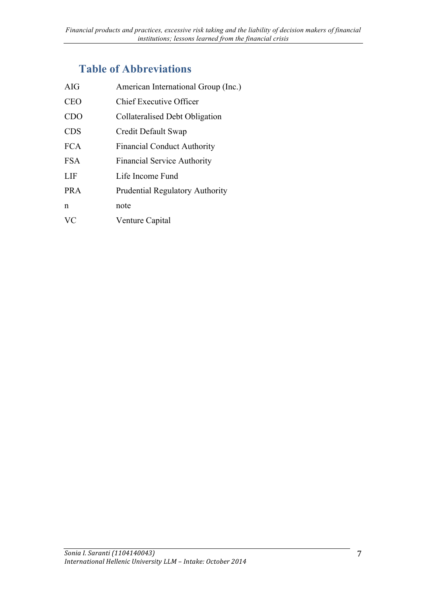# **Table of Abbreviations**

| AIG        | American International Group (Inc.)    |
|------------|----------------------------------------|
| <b>CEO</b> | <b>Chief Executive Officer</b>         |
| <b>CDO</b> | Collateralised Debt Obligation         |
| <b>CDS</b> | Credit Default Swap                    |
| <b>FCA</b> | <b>Financial Conduct Authority</b>     |
| FSA        | <b>Financial Service Authority</b>     |
| LIF        | Life Income Fund                       |
| <b>PRA</b> | <b>Prudential Regulatory Authority</b> |
| n          | note                                   |
| VC         | Venture Capital                        |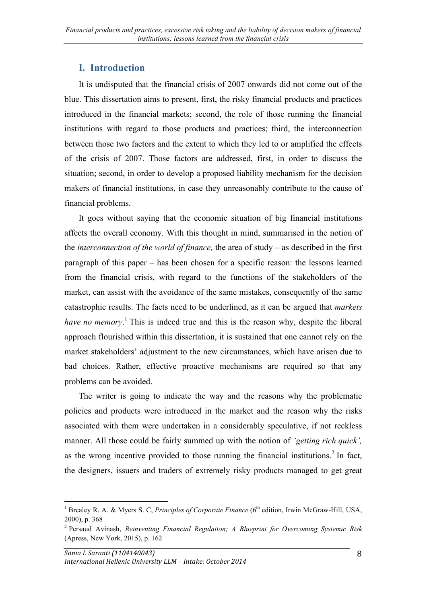### **I. Introduction**

It is undisputed that the financial crisis of 2007 onwards did not come out of the blue. This dissertation aims to present, first, the risky financial products and practices introduced in the financial markets; second, the role of those running the financial institutions with regard to those products and practices; third, the interconnection between those two factors and the extent to which they led to or amplified the effects of the crisis of 2007. Those factors are addressed, first, in order to discuss the situation; second, in order to develop a proposed liability mechanism for the decision makers of financial institutions, in case they unreasonably contribute to the cause of financial problems.

It goes without saying that the economic situation of big financial institutions affects the overall economy. With this thought in mind, summarised in the notion of the *interconnection of the world of finance,* the area of study – as described in the first paragraph of this paper – has been chosen for a specific reason: the lessons learned from the financial crisis, with regard to the functions of the stakeholders of the market, can assist with the avoidance of the same mistakes, consequently of the same catastrophic results. The facts need to be underlined, as it can be argued that *markets have no memory*. <sup>1</sup> This is indeed true and this is the reason why, despite the liberal approach flourished within this dissertation, it is sustained that one cannot rely on the market stakeholders' adjustment to the new circumstances, which have arisen due to bad choices. Rather, effective proactive mechanisms are required so that any problems can be avoided.

The writer is going to indicate the way and the reasons why the problematic policies and products were introduced in the market and the reason why the risks associated with them were undertaken in a considerably speculative, if not reckless manner. All those could be fairly summed up with the notion of *'getting rich quick',* as the wrong incentive provided to those running the financial institutions. <sup>2</sup> In fact, the designers, issuers and traders of extremely risky products managed to get great

<sup>&</sup>lt;sup>1</sup> Brealey R. A. & Myers S. C, *Principles of Corporate Finance* (6<sup>th</sup> edition, Irwin McGraw-Hill, USA, 2000), p. 368

<sup>2</sup> Persaud Avinash, *Reinventing Financial Regulation; A Blueprint for Overcoming Systemic Risk*  (Apress, New York, 2015), p. 162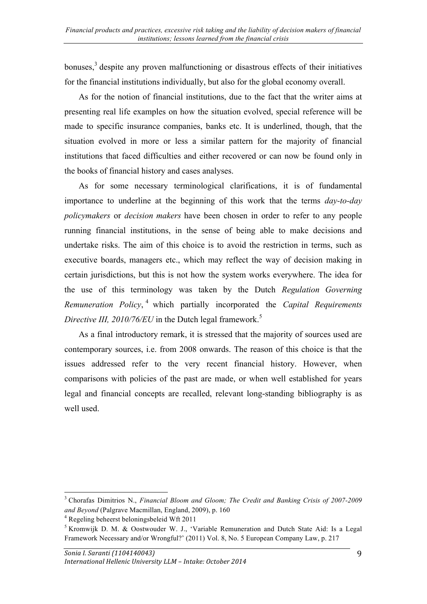bonuses,<sup>3</sup> despite any proven malfunctioning or disastrous effects of their initiatives for the financial institutions individually, but also for the global economy overall.

As for the notion of financial institutions, due to the fact that the writer aims at presenting real life examples on how the situation evolved, special reference will be made to specific insurance companies, banks etc. It is underlined, though, that the situation evolved in more or less a similar pattern for the majority of financial institutions that faced difficulties and either recovered or can now be found only in the books of financial history and cases analyses.

As for some necessary terminological clarifications, it is of fundamental importance to underline at the beginning of this work that the terms *day-to-day policymakers* or *decision makers* have been chosen in order to refer to any people running financial institutions, in the sense of being able to make decisions and undertake risks. The aim of this choice is to avoid the restriction in terms, such as executive boards, managers etc., which may reflect the way of decision making in certain jurisdictions, but this is not how the system works everywhere. The idea for the use of this terminology was taken by the Dutch *Regulation Governing Remuneration Policy*, <sup>4</sup> which partially incorporated the *Capital Requirements Directive III, 2010/76/EU* in the Dutch legal framework. 5

As a final introductory remark, it is stressed that the majority of sources used are contemporary sources, i.e. from 2008 onwards. The reason of this choice is that the issues addressed refer to the very recent financial history. However, when comparisons with policies of the past are made, or when well established for years legal and financial concepts are recalled, relevant long-standing bibliography is as well used.

 <sup>3</sup> Chorafas Dimitrios N., *Financial Bloom and Gloom; The Credit and Banking Crisis of 2007-2009 and Beyond* (Palgrave Macmillan, England, 2009), p. 160

<sup>4</sup> Regeling beheerst beloningsbeleid Wft 2011

<sup>&</sup>lt;sup>5</sup> Kromwijk D. M. & Oostwouder W. J., 'Variable Remuneration and Dutch State Aid: Is a Legal Framework Necessary and/or Wrongful?' (2011) Vol. 8, No. 5 European Company Law, p. 217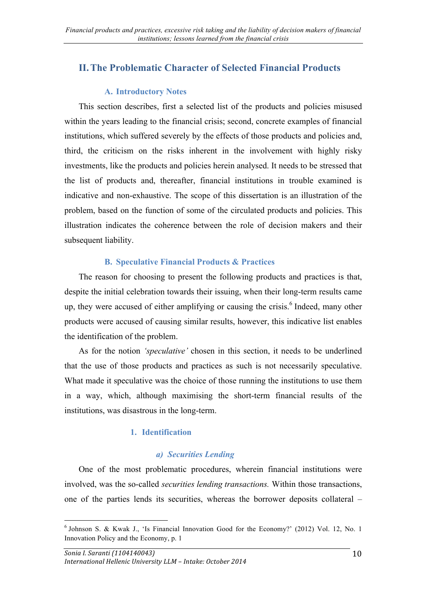## **II.The Problematic Character of Selected Financial Products**

#### **A. Introductory Notes**

This section describes, first a selected list of the products and policies misused within the years leading to the financial crisis; second, concrete examples of financial institutions, which suffered severely by the effects of those products and policies and, third, the criticism on the risks inherent in the involvement with highly risky investments, like the products and policies herein analysed. It needs to be stressed that the list of products and, thereafter, financial institutions in trouble examined is indicative and non-exhaustive. The scope of this dissertation is an illustration of the problem, based on the function of some of the circulated products and policies. This illustration indicates the coherence between the role of decision makers and their subsequent liability.

#### **B. Speculative Financial Products & Practices**

The reason for choosing to present the following products and practices is that, despite the initial celebration towards their issuing, when their long-term results came up, they were accused of either amplifying or causing the crisis.<sup>6</sup> Indeed, many other products were accused of causing similar results, however, this indicative list enables the identification of the problem.

As for the notion *'speculative'* chosen in this section, it needs to be underlined that the use of those products and practices as such is not necessarily speculative. What made it speculative was the choice of those running the institutions to use them in a way, which, although maximising the short-term financial results of the institutions, was disastrous in the long-term.

#### **1. Identification**

#### *a) Securities Lending*

One of the most problematic procedures, wherein financial institutions were involved, was the so-called *securities lending transactions.* Within those transactions, one of the parties lends its securities, whereas the borrower deposits collateral –

<sup>6</sup> Johnson S. & Kwak J., 'Is Financial Innovation Good for the Economy?' (2012) Vol. 12, No. 1 Innovation Policy and the Economy, p. 1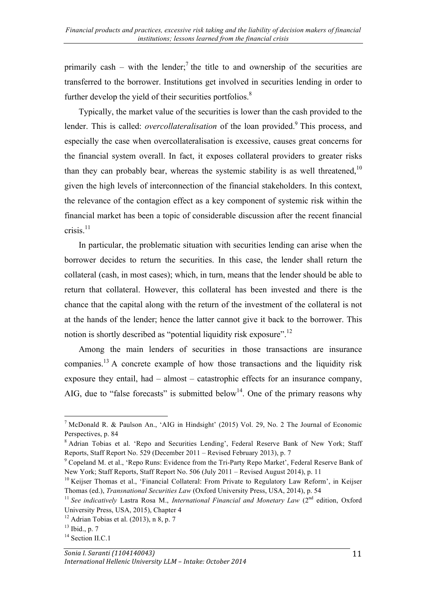primarily cash – with the lender;<sup>7</sup> the title to and ownership of the securities are transferred to the borrower. Institutions get involved in securities lending in order to further develop the yield of their securities portfolios.<sup>8</sup>

Typically, the market value of the securities is lower than the cash provided to the lender. This is called: *overcollateralisation* of the loan provided.<sup>9</sup> This process, and especially the case when overcollateralisation is excessive, causes great concerns for the financial system overall. In fact, it exposes collateral providers to greater risks than they can probably bear, whereas the systemic stability is as well threatened,  $10$ given the high levels of interconnection of the financial stakeholders. In this context, the relevance of the contagion effect as a key component of systemic risk within the financial market has been a topic of considerable discussion after the recent financial crisis. $11$ 

In particular, the problematic situation with securities lending can arise when the borrower decides to return the securities. In this case, the lender shall return the collateral (cash, in most cases); which, in turn, means that the lender should be able to return that collateral. However, this collateral has been invested and there is the chance that the capital along with the return of the investment of the collateral is not at the hands of the lender; hence the latter cannot give it back to the borrower. This notion is shortly described as "potential liquidity risk exposure".<sup>12</sup>

Among the main lenders of securities in those transactions are insurance companies.13 A concrete example of how those transactions and the liquidity risk exposure they entail, had – almost – catastrophic effects for an insurance company, AIG, due to "false forecasts" is submitted below<sup>14</sup>. One of the primary reasons why

<sup>7</sup> McDonald R. & Paulson An., 'AIG in Hindsight' (2015) Vol. 29, No. 2 The Journal of Economic Perspectives, p. 84

<sup>8</sup> Adrian Tobias et al. 'Repo and Securities Lending', Federal Reserve Bank of New York; Staff Reports, Staff Report No. 529 (December 2011 – Revised February 2013), p. 7

<sup>9</sup> Copeland M. et al., 'Repo Runs: Evidence from the Tri-Party Repo Market', Federal Reserve Bank of New York; Staff Reports, Staff Report No. 506 (July 2011 – Revised August 2014), p. 11

<sup>&</sup>lt;sup>10</sup> Keijser Thomas et al., 'Financial Collateral: From Private to Regulatory Law Reform', in Keijser Thomas (ed.), *Transnational Securities Law* (Oxford University Press, USA, 2014), p. 54

<sup>&</sup>lt;sup>11</sup> See indicatively Lastra Rosa M., *International Financial and Monetary Law* (2<sup>nd</sup> edition, Oxford University Press, USA, 2015), Chapter 4

 $12$  Adrian Tobias et al. (2013), n 8, p. 7

 $13$  Ibid., p. 7

 $14$  Section II.C.1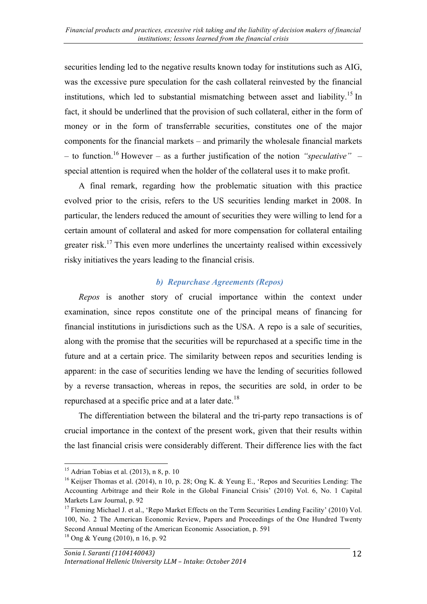securities lending led to the negative results known today for institutions such as AIG, was the excessive pure speculation for the cash collateral reinvested by the financial institutions, which led to substantial mismatching between asset and liability.<sup>15</sup> In fact, it should be underlined that the provision of such collateral, either in the form of money or in the form of transferrable securities, constitutes one of the major components for the financial markets – and primarily the wholesale financial markets – to function.16 However – as a further justification of the notion *"speculative"* – special attention is required when the holder of the collateral uses it to make profit.

A final remark, regarding how the problematic situation with this practice evolved prior to the crisis, refers to the US securities lending market in 2008. In particular, the lenders reduced the amount of securities they were willing to lend for a certain amount of collateral and asked for more compensation for collateral entailing greater risk.17 This even more underlines the uncertainty realised within excessively risky initiatives the years leading to the financial crisis.

#### *b) Repurchase Agreements (Repos)*

*Repos* is another story of crucial importance within the context under examination, since repos constitute one of the principal means of financing for financial institutions in jurisdictions such as the USA. A repo is a sale of securities, along with the promise that the securities will be repurchased at a specific time in the future and at a certain price. The similarity between repos and securities lending is apparent: in the case of securities lending we have the lending of securities followed by a reverse transaction, whereas in repos, the securities are sold, in order to be repurchased at a specific price and at a later date.<sup>18</sup>

The differentiation between the bilateral and the tri-party repo transactions is of crucial importance in the context of the present work, given that their results within the last financial crisis were considerably different. Their difference lies with the fact

<sup>&</sup>lt;sup>15</sup> Adrian Tobias et al.  $(2013)$ , n 8, p. 10

<sup>&</sup>lt;sup>16</sup> Keijser Thomas et al. (2014), n 10, p. 28; Ong K. & Yeung E., 'Repos and Securities Lending: The Accounting Arbitrage and their Role in the Global Financial Crisis' (2010) Vol. 6, No. 1 Capital Markets Law Journal, p. 92

<sup>&</sup>lt;sup>17</sup> Fleming Michael J. et al., 'Repo Market Effects on the Term Securities Lending Facility' (2010) Vol. 100, No. 2 The American Economic Review, Papers and Proceedings of the One Hundred Twenty Second Annual Meeting of the American Economic Association, p. 591

<sup>18</sup> Ong & Yeung (2010), n 16, p. 92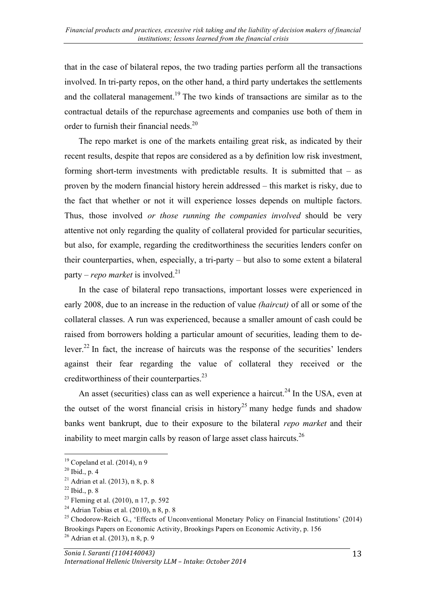that in the case of bilateral repos, the two trading parties perform all the transactions involved. In tri-party repos, on the other hand, a third party undertakes the settlements and the collateral management.<sup>19</sup> The two kinds of transactions are similar as to the contractual details of the repurchase agreements and companies use both of them in order to furnish their financial needs.<sup>20</sup>

The repo market is one of the markets entailing great risk, as indicated by their recent results, despite that repos are considered as a by definition low risk investment, forming short-term investments with predictable results. It is submitted that – as proven by the modern financial history herein addressed – this market is risky, due to the fact that whether or not it will experience losses depends on multiple factors. Thus, those involved *or those running the companies involved* should be very attentive not only regarding the quality of collateral provided for particular securities, but also, for example, regarding the creditworthiness the securities lenders confer on their counterparties, when, especially, a tri-party – but also to some extent a bilateral party – *repo market* is involved.<sup>21</sup>

In the case of bilateral repo transactions, important losses were experienced in early 2008, due to an increase in the reduction of value *(haircut)* of all or some of the collateral classes. A run was experienced, because a smaller amount of cash could be raised from borrowers holding a particular amount of securities, leading them to delever.<sup>22</sup> In fact, the increase of haircuts was the response of the securities' lenders against their fear regarding the value of collateral they received or the creditworthiness of their counterparties.<sup>23</sup>

An asset (securities) class can as well experience a haircut.<sup>24</sup> In the USA, even at the outset of the worst financial crisis in history<sup>25</sup> many hedge funds and shadow banks went bankrupt, due to their exposure to the bilateral *repo market* and their inability to meet margin calls by reason of large asset class haircuts.<sup>26</sup>

 $19$  Copeland et al. (2014), n 9

 $20$  Ibid., p. 4

<sup>&</sup>lt;sup>21</sup> Adrian et al. (2013), n 8, p. 8

 $22$  Ibid., p. 8

<sup>&</sup>lt;sup>23</sup> Fleming et al. (2010), n 17, p. 592

 $24$  Adrian Tobias et al. (2010), n 8, p. 8

 $^{25}$  Chodorow-Reich G., 'Effects of Unconventional Monetary Policy on Financial Institutions' (2014) Brookings Papers on Economic Activity, Brookings Papers on Economic Activity, p. 156  $26$  Adrian et al. (2013), n 8, p. 9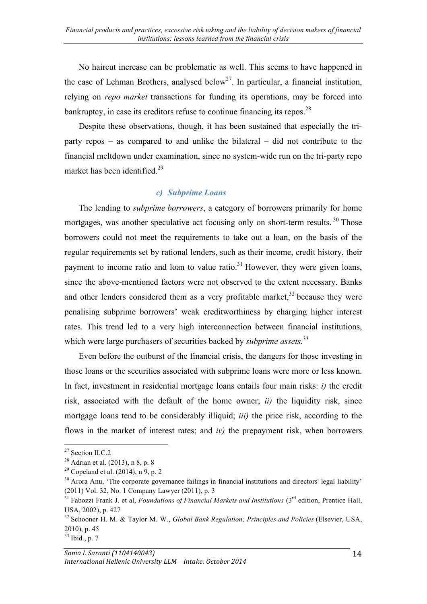No haircut increase can be problematic as well. This seems to have happened in the case of Lehman Brothers, analysed below<sup>27</sup>. In particular, a financial institution, relying on *repo market* transactions for funding its operations, may be forced into bankruptcy, in case its creditors refuse to continue financing its repos.<sup>28</sup>

Despite these observations, though, it has been sustained that especially the triparty repos – as compared to and unlike the bilateral – did not contribute to the financial meltdown under examination, since no system-wide run on the tri-party repo market has been identified.<sup>29</sup>

#### *c) Subprime Loans*

The lending to *subprime borrowers*, a category of borrowers primarily for home mortgages, was another speculative act focusing only on short-term results.<sup>30</sup> Those borrowers could not meet the requirements to take out a loan, on the basis of the regular requirements set by rational lenders, such as their income, credit history, their payment to income ratio and loan to value ratio.<sup>31</sup> However, they were given loans, since the above-mentioned factors were not observed to the extent necessary. Banks and other lenders considered them as a very profitable market, $32$  because they were penalising subprime borrowers' weak creditworthiness by charging higher interest rates. This trend led to a very high interconnection between financial institutions, which were large purchasers of securities backed by *subprime assets*.<sup>33</sup>

Even before the outburst of the financial crisis, the dangers for those investing in those loans or the securities associated with subprime loans were more or less known. In fact, investment in residential mortgage loans entails four main risks: *i)* the credit risk, associated with the default of the home owner; *ii)* the liquidity risk, since mortgage loans tend to be considerably illiquid; *iii)* the price risk, according to the flows in the market of interest rates; and *iv)* the prepayment risk, when borrowers

<sup>27</sup> Section II.C.2

<sup>&</sup>lt;sup>28</sup> Adrian et al.  $(2013)$ , n 8, p. 8

<sup>&</sup>lt;sup>29</sup> Copeland et al.  $(2014)$ , n 9, p. 2

<sup>&</sup>lt;sup>30</sup> Arora Anu, 'The corporate governance failings in financial institutions and directors' legal liability' (2011) Vol. 32, No. 1 Company Lawyer (2011), p. 3

<sup>&</sup>lt;sup>31</sup> Fabozzi Frank J. et al, *Foundations of Financial Markets and Institutions* (3<sup>rd</sup> edition, Prentice Hall, USA, 2002), p. 427

<sup>&</sup>lt;sup>32</sup> Schooner H. M. & Taylor M. W., *Global Bank Regulation; Principles and Policies* (Elsevier, USA, 2010), p. 45

<sup>33</sup> Ibid., p. 7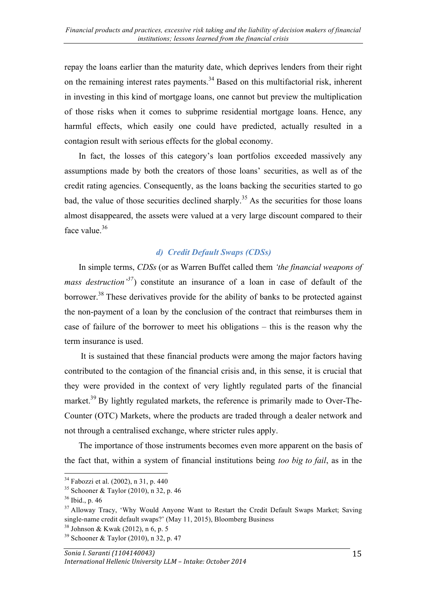repay the loans earlier than the maturity date, which deprives lenders from their right on the remaining interest rates payments.<sup>34</sup> Based on this multifactorial risk, inherent in investing in this kind of mortgage loans, one cannot but preview the multiplication of those risks when it comes to subprime residential mortgage loans. Hence, any harmful effects, which easily one could have predicted, actually resulted in a contagion result with serious effects for the global economy.

In fact, the losses of this category's loan portfolios exceeded massively any assumptions made by both the creators of those loans' securities, as well as of the credit rating agencies. Consequently, as the loans backing the securities started to go bad, the value of those securities declined sharply.<sup>35</sup> As the securities for those loans almost disappeared, the assets were valued at a very large discount compared to their face value.<sup>36</sup>

#### *d) Credit Default Swaps (CDSs)*

In simple terms, *CDSs* (or as Warren Buffet called them *'the financial weapons of mass destruction*<sup>37</sup>) constitute an insurance of a loan in case of default of the borrower.<sup>38</sup> These derivatives provide for the ability of banks to be protected against the non-payment of a loan by the conclusion of the contract that reimburses them in case of failure of the borrower to meet his obligations – this is the reason why the term insurance is used.

It is sustained that these financial products were among the major factors having contributed to the contagion of the financial crisis and, in this sense, it is crucial that they were provided in the context of very lightly regulated parts of the financial market.<sup>39</sup> By lightly regulated markets, the reference is primarily made to Over-The-Counter (OTC) Markets, where the products are traded through a dealer network and not through a centralised exchange, where stricter rules apply.

The importance of those instruments becomes even more apparent on the basis of the fact that, within a system of financial institutions being *too big to fail*, as in the

 <sup>34</sup> Fabozzi et al. (2002), n 31, p. 440

 $35$  Schooner & Taylor (2010), n 32, p. 46

 $36$  Ibid., p. 46

<sup>&</sup>lt;sup>37</sup> Alloway Tracy, 'Why Would Anyone Want to Restart the Credit Default Swaps Market; Saving single-name credit default swaps?' (May 11, 2015), Bloomberg Business

 $38$  Johnson & Kwak (2012), n 6, p. 5

<sup>39</sup> Schooner & Taylor (2010), n 32, p. 47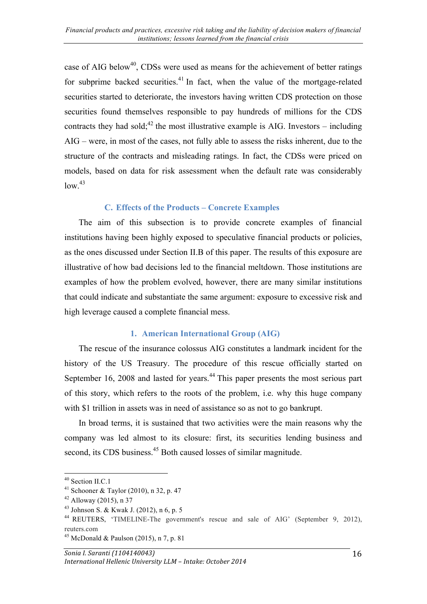case of AIG below<sup>40</sup>, CDSs were used as means for the achievement of better ratings for subprime backed securities.<sup>41</sup> In fact, when the value of the mortgage-related securities started to deteriorate, the investors having written CDS protection on those securities found themselves responsible to pay hundreds of millions for the CDS contracts they had sold;<sup>42</sup> the most illustrative example is AIG. Investors – including AIG – were, in most of the cases, not fully able to assess the risks inherent, due to the structure of the contracts and misleading ratings. In fact, the CDSs were priced on models, based on data for risk assessment when the default rate was considerably  $\frac{1}{2}$ 

#### **C. Effects of the Products – Concrete Examples**

The aim of this subsection is to provide concrete examples of financial institutions having been highly exposed to speculative financial products or policies, as the ones discussed under Section II.B of this paper. The results of this exposure are illustrative of how bad decisions led to the financial meltdown. Those institutions are examples of how the problem evolved, however, there are many similar institutions that could indicate and substantiate the same argument: exposure to excessive risk and high leverage caused a complete financial mess.

#### **1. American International Group (AIG)**

The rescue of the insurance colossus AIG constitutes a landmark incident for the history of the US Treasury. The procedure of this rescue officially started on September 16, 2008 and lasted for years.<sup>44</sup> This paper presents the most serious part of this story, which refers to the roots of the problem, i.e. why this huge company with \$1 trillion in assets was in need of assistance so as not to go bankrupt.

In broad terms, it is sustained that two activities were the main reasons why the company was led almost to its closure: first, its securities lending business and second, its CDS business.<sup>45</sup> Both caused losses of similar magnitude.

<sup>&</sup>lt;sup>40</sup> Section II.C.1

<sup>&</sup>lt;sup>41</sup> Schooner & Taylor (2010), n 32, p. 47

 $42$  Alloway (2015), n 37

<sup>43</sup> Johnson S. & Kwak J. (2012), n 6, p. 5

<sup>44</sup> REUTERS, 'TIMELINE-The government's rescue and sale of AIG' (September 9, 2012), reuters.com

<sup>&</sup>lt;sup>45</sup> McDonald & Paulson (2015), n 7, p. 81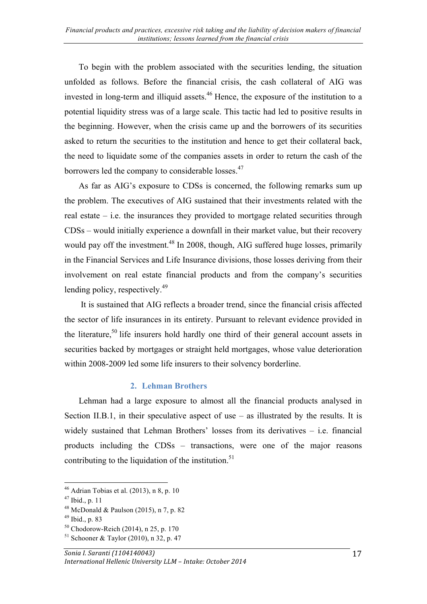To begin with the problem associated with the securities lending, the situation unfolded as follows. Before the financial crisis, the cash collateral of AIG was invested in long-term and illiquid assets.<sup>46</sup> Hence, the exposure of the institution to a potential liquidity stress was of a large scale. This tactic had led to positive results in the beginning. However, when the crisis came up and the borrowers of its securities asked to return the securities to the institution and hence to get their collateral back, the need to liquidate some of the companies assets in order to return the cash of the borrowers led the company to considerable losses.<sup>47</sup>

As far as AIG's exposure to CDSs is concerned, the following remarks sum up the problem. The executives of AIG sustained that their investments related with the real estate – i.e. the insurances they provided to mortgage related securities through CDSs – would initially experience a downfall in their market value, but their recovery would pay off the investment.<sup>48</sup> In 2008, though, AIG suffered huge losses, primarily in the Financial Services and Life Insurance divisions, those losses deriving from their involvement on real estate financial products and from the company's securities lending policy, respectively.<sup>49</sup>

It is sustained that AIG reflects a broader trend, since the financial crisis affected the sector of life insurances in its entirety. Pursuant to relevant evidence provided in the literature,<sup>50</sup> life insurers hold hardly one third of their general account assets in securities backed by mortgages or straight held mortgages, whose value deterioration within 2008-2009 led some life insurers to their solvency borderline.

#### **2. Lehman Brothers**

Lehman had a large exposure to almost all the financial products analysed in Section II.B.1, in their speculative aspect of use  $-$  as illustrated by the results. It is widely sustained that Lehman Brothers' losses from its derivatives – i.e. financial products including the CDSs – transactions, were one of the major reasons contributing to the liquidation of the institution.<sup>51</sup>

 $46$  Adrian Tobias et al. (2013), n 8, p. 10

<sup>47</sup> Ibid., p. 11

<sup>&</sup>lt;sup>48</sup> McDonald & Paulson (2015), n 7, p. 82

<sup>49</sup> Ibid., p. 83

 $50$  Chodorow-Reich (2014), n 25, p. 170

 $51$  Schooner & Taylor (2010), n 32, p. 47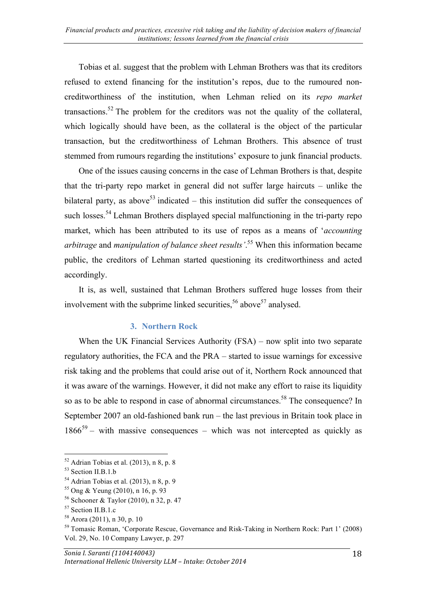Tobias et al. suggest that the problem with Lehman Brothers was that its creditors refused to extend financing for the institution's repos, due to the rumoured noncreditworthiness of the institution, when Lehman relied on its *repo market*  transactions.<sup>52</sup> The problem for the creditors was not the quality of the collateral, which logically should have been, as the collateral is the object of the particular transaction, but the creditworthiness of Lehman Brothers. This absence of trust stemmed from rumours regarding the institutions' exposure to junk financial products.

One of the issues causing concerns in the case of Lehman Brothers is that, despite that the tri-party repo market in general did not suffer large haircuts – unlike the bilateral party, as above<sup>53</sup> indicated – this institution did suffer the consequences of such losses.<sup>54</sup> Lehman Brothers displayed special malfunctioning in the tri-party repo market, which has been attributed to its use of repos as a means of '*accounting arbitrage* and *manipulation of balance sheet results'*. <sup>55</sup> When this information became public, the creditors of Lehman started questioning its creditworthiness and acted accordingly.

It is, as well, sustained that Lehman Brothers suffered huge losses from their involvement with the subprime linked securities,  $56$  above  $57$  analysed.

#### **3. Northern Rock**

When the UK Financial Services Authority (FSA) – now split into two separate regulatory authorities, the FCA and the PRA – started to issue warnings for excessive risk taking and the problems that could arise out of it, Northern Rock announced that it was aware of the warnings. However, it did not make any effort to raise its liquidity so as to be able to respond in case of abnormal circumstances.<sup>58</sup> The consequence? In September 2007 an old-fashioned bank run – the last previous in Britain took place in  $1866^{59}$  – with massive consequences – which was not intercepted as quickly as

  $52$  Adrian Tobias et al. (2013), n 8, p. 8

<sup>53</sup> Section II.B.1.b

 $54$  Adrian Tobias et al. (2013), n 8, p. 9

<sup>55</sup> Ong & Yeung (2010), n 16, p. 93

<sup>56</sup> Schooner & Taylor (2010), n 32, p. 47

<sup>57</sup> Section II.B.1.c

<sup>58</sup> Arora (2011), n 30, p. 10

<sup>59</sup> Tomasic Roman, 'Corporate Rescue, Governance and Risk-Taking in Northern Rock: Part 1' (2008) Vol. 29, No. 10 Company Lawyer, p. 297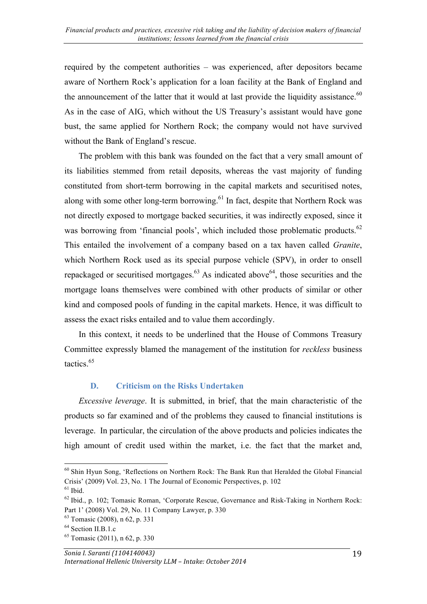required by the competent authorities – was experienced, after depositors became aware of Northern Rock's application for a loan facility at the Bank of England and the announcement of the latter that it would at last provide the liquidity assistance. $60$ As in the case of AIG, which without the US Treasury's assistant would have gone bust, the same applied for Northern Rock; the company would not have survived without the Bank of England's rescue.

The problem with this bank was founded on the fact that a very small amount of its liabilities stemmed from retail deposits, whereas the vast majority of funding constituted from short-term borrowing in the capital markets and securitised notes, along with some other long-term borrowing.<sup>61</sup> In fact, despite that Northern Rock was not directly exposed to mortgage backed securities, it was indirectly exposed, since it was borrowing from 'financial pools', which included those problematic products.<sup>62</sup> This entailed the involvement of a company based on a tax haven called *Granite*, which Northern Rock used as its special purpose vehicle (SPV), in order to onsell repackaged or securitised mortgages. $63$  As indicated above  $64$ , those securities and the mortgage loans themselves were combined with other products of similar or other kind and composed pools of funding in the capital markets. Hence, it was difficult to assess the exact risks entailed and to value them accordingly.

In this context, it needs to be underlined that the House of Commons Treasury Committee expressly blamed the management of the institution for *reckless* business tactics.<sup>65</sup>

#### **D. Criticism on the Risks Undertaken**

*Excessive leverage*. It is submitted, in brief, that the main characteristic of the products so far examined and of the problems they caused to financial institutions is leverage. In particular, the circulation of the above products and policies indicates the high amount of credit used within the market, i.e. the fact that the market and,

<sup>&</sup>lt;sup>60</sup> Shin Hyun Song, 'Reflections on Northern Rock: The Bank Run that Heralded the Global Financial Crisis' (2009) Vol. 23, No. 1 The Journal of Economic Perspectives, p. 102

 $61$  Ibid.

 $62$  Ibid., p. 102; Tomasic Roman, 'Corporate Rescue, Governance and Risk-Taking in Northern Rock: Part 1' (2008) Vol. 29, No. 11 Company Lawyer, p. 330

<sup>63</sup> Tomasic (2008), n 62, p. 331

<sup>&</sup>lt;sup>64</sup> Section II.B.1.c

<sup>65</sup> Tomasic (2011), n 62, p. 330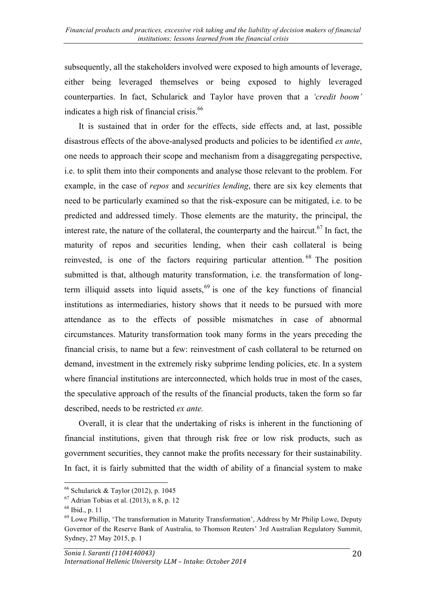subsequently, all the stakeholders involved were exposed to high amounts of leverage, either being leveraged themselves or being exposed to highly leveraged counterparties. In fact, Schularick and Taylor have proven that a *'credit boom'* indicates a high risk of financial crisis.<sup>66</sup>

It is sustained that in order for the effects, side effects and, at last, possible disastrous effects of the above-analysed products and policies to be identified *ex ante*, one needs to approach their scope and mechanism from a disaggregating perspective, i.e. to split them into their components and analyse those relevant to the problem. For example, in the case of *repos* and *securities lending*, there are six key elements that need to be particularly examined so that the risk-exposure can be mitigated, i.e. to be predicted and addressed timely. Those elements are the maturity, the principal, the interest rate, the nature of the collateral, the counterparty and the haircut.<sup>67</sup> In fact, the maturity of repos and securities lending, when their cash collateral is being reinvested, is one of the factors requiring particular attention. <sup>68</sup> The position submitted is that, although maturity transformation, i.e. the transformation of longterm illiquid assets into liquid assets,<sup>69</sup> is one of the key functions of financial institutions as intermediaries, history shows that it needs to be pursued with more attendance as to the effects of possible mismatches in case of abnormal circumstances. Maturity transformation took many forms in the years preceding the financial crisis, to name but a few: reinvestment of cash collateral to be returned on demand, investment in the extremely risky subprime lending policies, etc. In a system where financial institutions are interconnected, which holds true in most of the cases, the speculative approach of the results of the financial products, taken the form so far described, needs to be restricted *ex ante.*

Overall, it is clear that the undertaking of risks is inherent in the functioning of financial institutions, given that through risk free or low risk products, such as government securities, they cannot make the profits necessary for their sustainability. In fact, it is fairly submitted that the width of ability of a financial system to make

 $66$  Schularick & Taylor (2012), p. 1045

 $67$  Adrian Tobias et al. (2013), n 8, p. 12

<sup>68</sup> Ibid., p. 11

 $<sup>69</sup>$  Lowe Phillip, 'The transformation in Maturity Transformation', Address by Mr Philip Lowe, Deputy</sup> Governor of the Reserve Bank of Australia, to Thomson Reuters' 3rd Australian Regulatory Summit, Sydney, 27 May 2015, p. 1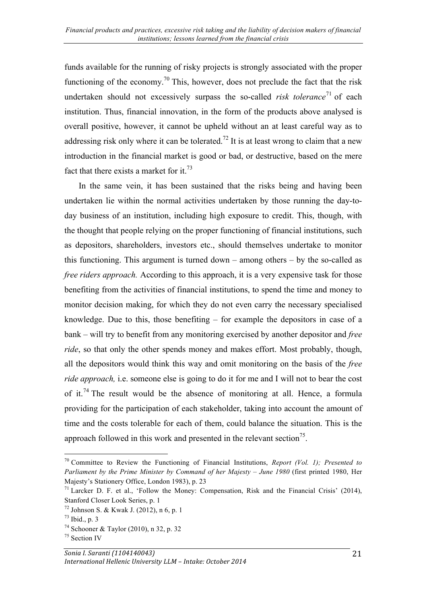funds available for the running of risky projects is strongly associated with the proper functioning of the economy.<sup>70</sup> This, however, does not preclude the fact that the risk undertaken should not excessively surpass the so-called *risk tolerance*<sup>71</sup> of each institution. Thus, financial innovation, in the form of the products above analysed is overall positive, however, it cannot be upheld without an at least careful way as to addressing risk only where it can be tolerated.<sup>72</sup> It is at least wrong to claim that a new introduction in the financial market is good or bad, or destructive, based on the mere fact that there exists a market for it.<sup>73</sup>

In the same vein, it has been sustained that the risks being and having been undertaken lie within the normal activities undertaken by those running the day-today business of an institution, including high exposure to credit. This, though, with the thought that people relying on the proper functioning of financial institutions, such as depositors, shareholders, investors etc., should themselves undertake to monitor this functioning. This argument is turned down – among others – by the so-called as *free riders approach.* According to this approach, it is a very expensive task for those benefiting from the activities of financial institutions, to spend the time and money to monitor decision making, for which they do not even carry the necessary specialised knowledge. Due to this, those benefiting – for example the depositors in case of a bank – will try to benefit from any monitoring exercised by another depositor and *free ride*, so that only the other spends money and makes effort. Most probably, though, all the depositors would think this way and omit monitoring on the basis of the *free ride approach,* i.e. someone else is going to do it for me and I will not to bear the cost of it.<sup>74</sup> The result would be the absence of monitoring at all. Hence, a formula providing for the participation of each stakeholder, taking into account the amount of time and the costs tolerable for each of them, could balance the situation. This is the approach followed in this work and presented in the relevant section<sup>75</sup>.

<sup>70</sup> Committee to Review the Functioning of Financial Institutions, *Report (Vol. 1); Presented to Parliament by the Prime Minister by Command of her Majesty – June 1980* (first printed 1980, Her Majesty's Stationery Office, London 1983), p. 23

 $^{71}$  Larcker D. F. et al., 'Follow the Money: Compensation, Risk and the Financial Crisis' (2014), Stanford Closer Look Series, p. 1

<sup>72</sup> Johnson S. & Kwak J. (2012), n 6, p. 1

<sup>73</sup> Ibid., p. 3

<sup>74</sup> Schooner & Taylor (2010), n 32, p. 32

<sup>75</sup> Section IV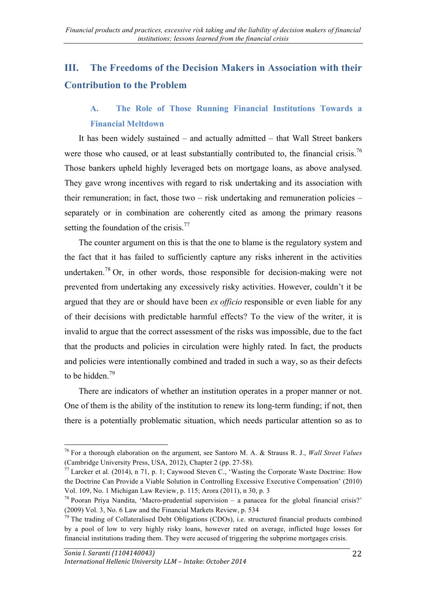# **III. The Freedoms of the Decision Makers in Association with their Contribution to the Problem**

## **A. The Role of Those Running Financial Institutions Towards a Financial Meltdown**

It has been widely sustained – and actually admitted – that Wall Street bankers were those who caused, or at least substantially contributed to, the financial crisis.<sup>76</sup> Those bankers upheld highly leveraged bets on mortgage loans, as above analysed. They gave wrong incentives with regard to risk undertaking and its association with their remuneration; in fact, those two – risk undertaking and remuneration policies – separately or in combination are coherently cited as among the primary reasons setting the foundation of the crisis.<sup>77</sup>

The counter argument on this is that the one to blame is the regulatory system and the fact that it has failed to sufficiently capture any risks inherent in the activities undertaken.<sup>78</sup> Or, in other words, those responsible for decision-making were not prevented from undertaking any excessively risky activities. However, couldn't it be argued that they are or should have been *ex officio* responsible or even liable for any of their decisions with predictable harmful effects? To the view of the writer, it is invalid to argue that the correct assessment of the risks was impossible, due to the fact that the products and policies in circulation were highly rated. In fact, the products and policies were intentionally combined and traded in such a way, so as their defects to be hidden  $79$ 

There are indicators of whether an institution operates in a proper manner or not. One of them is the ability of the institution to renew its long-term funding; if not, then there is a potentially problematic situation, which needs particular attention so as to

<sup>76</sup> For a thorough elaboration on the argument, see Santoro M. A. & Strauss R. J., *Wall Street Values* (Cambridge University Press, USA, 2012), Chapter 2 (pp. 27-58).

 $^{77}$  Larcker et al. (2014), n 71, p. 1; Caywood Steven C., 'Wasting the Corporate Waste Doctrine: How the Doctrine Can Provide a Viable Solution in Controlling Excessive Executive Compensation' (2010) Vol. 109, No. 1 Michigan Law Review, p. 115; Arora (2011), n 30, p. 3

<sup>&</sup>lt;sup>78</sup> Pooran Priya Nandita, 'Macro-prudential supervision – a panacea for the global financial crisis?' (2009) Vol. 3, No. 6 Law and the Financial Markets Review, p. 534

<sup>&</sup>lt;sup>79</sup> The trading of Collateralised Debt Obligations (CDOs), i.e. structured financial products combined by a pool of low to very highly risky loans, however rated on average, inflicted huge losses for financial institutions trading them. They were accused of triggering the subprime mortgages crisis.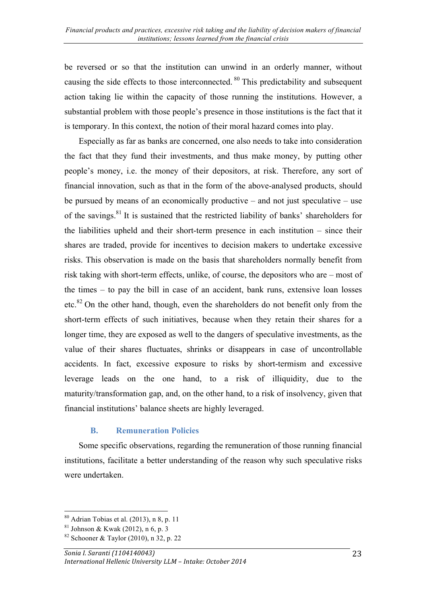be reversed or so that the institution can unwind in an orderly manner, without causing the side effects to those interconnected. <sup>80</sup> This predictability and subsequent action taking lie within the capacity of those running the institutions. However, a substantial problem with those people's presence in those institutions is the fact that it is temporary. In this context, the notion of their moral hazard comes into play.

Especially as far as banks are concerned, one also needs to take into consideration the fact that they fund their investments, and thus make money, by putting other people's money, i.e. the money of their depositors, at risk. Therefore, any sort of financial innovation, such as that in the form of the above-analysed products, should be pursued by means of an economically productive – and not just speculative – use of the savings.81 It is sustained that the restricted liability of banks' shareholders for the liabilities upheld and their short-term presence in each institution – since their shares are traded, provide for incentives to decision makers to undertake excessive risks. This observation is made on the basis that shareholders normally benefit from risk taking with short-term effects, unlike, of course, the depositors who are – most of the times – to pay the bill in case of an accident, bank runs, extensive loan losses etc.<sup>82</sup> On the other hand, though, even the shareholders do not benefit only from the short-term effects of such initiatives, because when they retain their shares for a longer time, they are exposed as well to the dangers of speculative investments, as the value of their shares fluctuates, shrinks or disappears in case of uncontrollable accidents. In fact, excessive exposure to risks by short-termism and excessive leverage leads on the one hand, to a risk of illiquidity, due to the maturity/transformation gap, and, on the other hand, to a risk of insolvency, given that financial institutions' balance sheets are highly leveraged.

#### **B. Remuneration Policies**

Some specific observations, regarding the remuneration of those running financial institutions, facilitate a better understanding of the reason why such speculative risks were undertaken.

 $80$  Adrian Tobias et al. (2013), n 8, p. 11

 $81$  Johnson & Kwak (2012), n 6, p. 3

 $82$  Schooner & Taylor (2010), n 32, p. 22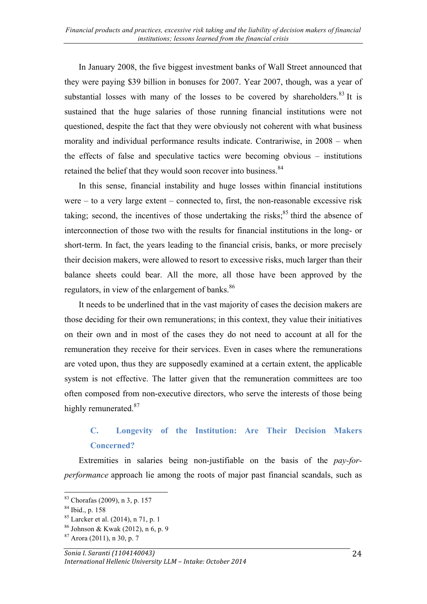In January 2008, the five biggest investment banks of Wall Street announced that they were paying \$39 billion in bonuses for 2007. Year 2007, though, was a year of substantial losses with many of the losses to be covered by shareholders.<sup>83</sup> It is sustained that the huge salaries of those running financial institutions were not questioned, despite the fact that they were obviously not coherent with what business morality and individual performance results indicate. Contrariwise, in 2008 – when the effects of false and speculative tactics were becoming obvious – institutions retained the belief that they would soon recover into business.<sup>84</sup>

In this sense, financial instability and huge losses within financial institutions were – to a very large extent – connected to, first, the non-reasonable excessive risk taking; second, the incentives of those undertaking the risks;<sup>85</sup> third the absence of interconnection of those two with the results for financial institutions in the long- or short-term. In fact, the years leading to the financial crisis, banks, or more precisely their decision makers, were allowed to resort to excessive risks, much larger than their balance sheets could bear. All the more, all those have been approved by the regulators, in view of the enlargement of banks.<sup>86</sup>

It needs to be underlined that in the vast majority of cases the decision makers are those deciding for their own remunerations; in this context, they value their initiatives on their own and in most of the cases they do not need to account at all for the remuneration they receive for their services. Even in cases where the remunerations are voted upon, thus they are supposedly examined at a certain extent, the applicable system is not effective. The latter given that the remuneration committees are too often composed from non-executive directors, who serve the interests of those being highly remunerated.<sup>87</sup>

## **C. Longevity of the Institution: Are Their Decision Makers Concerned?**

Extremities in salaries being non-justifiable on the basis of the *pay-forperformance* approach lie among the roots of major past financial scandals, such as

 <sup>83</sup> Chorafas (2009), n 3, p. 157

<sup>84</sup> Ibid., p. 158

 $85$  Larcker et al. (2014), n 71, p. 1

<sup>86</sup> Johnson & Kwak (2012), n 6, p. 9

 $87$  Arora (2011), n 30, p. 7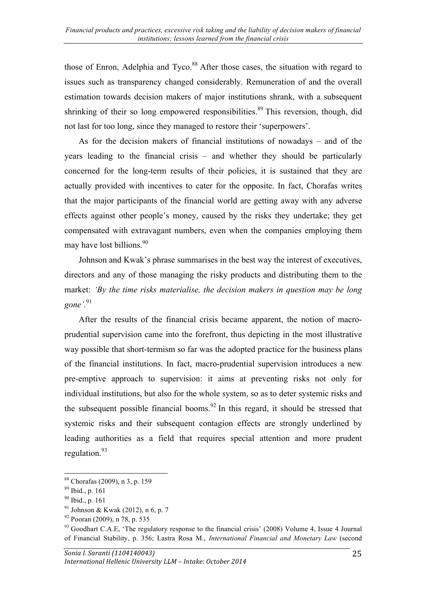those of Enron, Adelphia and Tyco.<sup>88</sup> After those cases, the situation with regard to issues such as transparency changed considerably. Remuneration of and the overall estimation towards decision makers of major institutions shrank, with a subsequent shrinking of their so long empowered responsibilities.<sup>89</sup> This reversion, though, did not last for too long, since they managed to restore their 'superpowers'.

As for the decision makers of financial institutions of nowadays – and of the years leading to the financial crisis – and whether they should be particularly concerned for the long-term results of their policies, it is sustained that they are actually provided with incentives to cater for the opposite. In fact, Chorafas writes that the major participants of the financial world are getting away with any adverse effects against other people's money, caused by the risks they undertake; they get compensated with extravagant numbers, even when the companies employing them may have lost billions.<sup>90</sup>

Johnson and Kwak's phrase summarises in the best way the interest of executives, directors and any of those managing the risky products and distributing them to the market: *'By the time risks materialise, the decision makers in question may be long gone'.* 91

After the results of the financial crisis became apparent, the notion of macroprudential supervision came into the forefront, thus depicting in the most illustrative way possible that short-termism so far was the adopted practice for the business plans of the financial institutions. In fact, macro-prudential supervision introduces a new pre-emptive approach to supervision: it aims at preventing risks not only for individual institutions, but also for the whole system, so as to deter systemic risks and the subsequent possible financial booms.<sup>92</sup> In this regard, it should be stressed that systemic risks and their subsequent contagion effects are strongly underlined by leading authorities as a field that requires special attention and more prudent regulation.<sup>93</sup>

 <sup>88</sup> Chorafas (2009), n 3, p. 159

<sup>89</sup> Ibid., p. 161

<sup>90</sup> Ibid., p. 161

<sup>91</sup> Johnson & Kwak (2012), n 6, p. 7

<sup>92</sup> Pooran (2009), n 78, p. 535

<sup>&</sup>lt;sup>93</sup> Goodhart C.A.E, 'The regulatory response to the financial crisis' (2008) Volume 4, Issue 4 Journal of Financial Stability, p. 356; Lastra Rosa M., *International Financial and Monetary Law* (second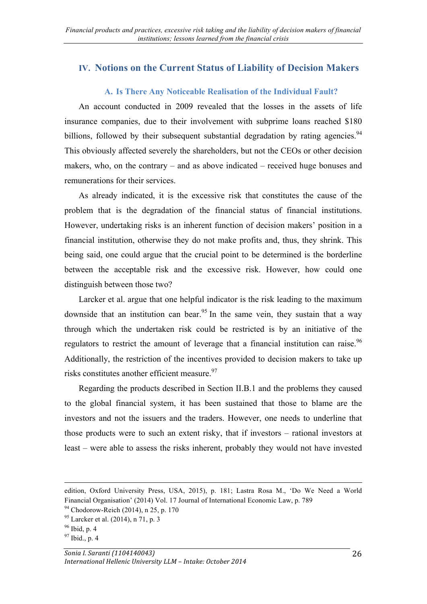### **IV. Notions on the Current Status of Liability of Decision Makers**

#### **A. Is There Any Noticeable Realisation of the Individual Fault?**

An account conducted in 2009 revealed that the losses in the assets of life insurance companies, due to their involvement with subprime loans reached \$180 billions, followed by their subsequent substantial degradation by rating agencies.<sup>94</sup> This obviously affected severely the shareholders, but not the CEOs or other decision makers, who, on the contrary – and as above indicated – received huge bonuses and remunerations for their services.

As already indicated, it is the excessive risk that constitutes the cause of the problem that is the degradation of the financial status of financial institutions. However, undertaking risks is an inherent function of decision makers' position in a financial institution, otherwise they do not make profits and, thus, they shrink. This being said, one could argue that the crucial point to be determined is the borderline between the acceptable risk and the excessive risk. However, how could one distinguish between those two?

Larcker et al. argue that one helpful indicator is the risk leading to the maximum downside that an institution can bear.<sup>95</sup> In the same vein, they sustain that a way through which the undertaken risk could be restricted is by an initiative of the regulators to restrict the amount of leverage that a financial institution can raise.<sup>96</sup> Additionally, the restriction of the incentives provided to decision makers to take up risks constitutes another efficient measure.<sup>97</sup>

Regarding the products described in Section II.B.1 and the problems they caused to the global financial system, it has been sustained that those to blame are the investors and not the issuers and the traders. However, one needs to underline that those products were to such an extent risky, that if investors – rational investors at least – were able to assess the risks inherent, probably they would not have invested

<u> 2002 - Andrea San Andrew Maria (h. 1888).</u><br>2003 - Andrew Maria (h. 1882).

edition, Oxford University Press, USA, 2015), p. 181; Lastra Rosa M., 'Do We Need a World Financial Organisation' (2014) Vol. 17 Journal of International Economic Law, p. 789

<sup>&</sup>lt;sup>94</sup> Chodorow-Reich (2014), n 25, p. 170

 $95$  Larcker et al. (2014), n 71, p. 3

 $96$  Ibid, p. 4

<sup>97</sup> Ibid., p. 4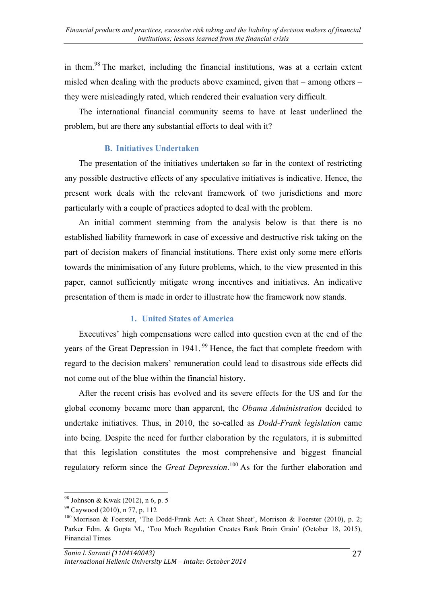in them.<sup>98</sup> The market, including the financial institutions, was at a certain extent misled when dealing with the products above examined, given that – among others – they were misleadingly rated, which rendered their evaluation very difficult.

The international financial community seems to have at least underlined the problem, but are there any substantial efforts to deal with it?

#### **B. Initiatives Undertaken**

The presentation of the initiatives undertaken so far in the context of restricting any possible destructive effects of any speculative initiatives is indicative. Hence, the present work deals with the relevant framework of two jurisdictions and more particularly with a couple of practices adopted to deal with the problem.

An initial comment stemming from the analysis below is that there is no established liability framework in case of excessive and destructive risk taking on the part of decision makers of financial institutions. There exist only some mere efforts towards the minimisation of any future problems, which, to the view presented in this paper, cannot sufficiently mitigate wrong incentives and initiatives. An indicative presentation of them is made in order to illustrate how the framework now stands.

#### **1. United States of America**

Executives' high compensations were called into question even at the end of the years of the Great Depression in 1941.<sup>99</sup> Hence, the fact that complete freedom with regard to the decision makers' remuneration could lead to disastrous side effects did not come out of the blue within the financial history.

After the recent crisis has evolved and its severe effects for the US and for the global economy became more than apparent, the *Obama Administration* decided to undertake initiatives. Thus, in 2010, the so-called as *Dodd-Frank legislation* came into being. Despite the need for further elaboration by the regulators, it is submitted that this legislation constitutes the most comprehensive and biggest financial regulatory reform since the *Great Depression*. <sup>100</sup> As for the further elaboration and

 <sup>98</sup> Johnson & Kwak (2012), n 6, p. 5

<sup>99</sup> Caywood (2010), n 77, p. 112

<sup>&</sup>lt;sup>100</sup> Morrison & Foerster, 'The Dodd-Frank Act: A Cheat Sheet', Morrison & Foerster (2010), p. 2; Parker Edm. & Gupta M., 'Too Much Regulation Creates Bank Brain Grain' (October 18, 2015), Financial Times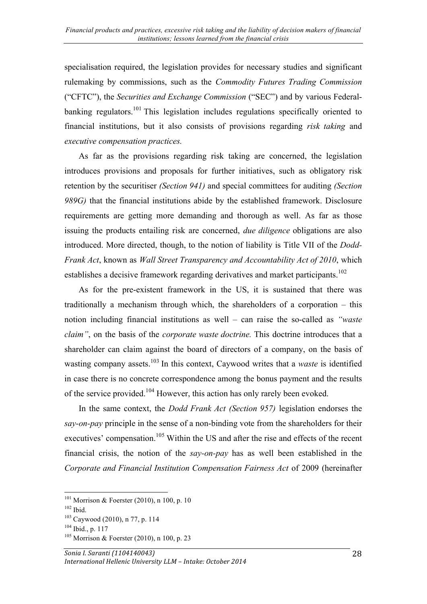specialisation required, the legislation provides for necessary studies and significant rulemaking by commissions, such as the *Commodity Futures Trading Commission* ("CFTC"), the *Securities and Exchange Commission* ("SEC") and by various Federalbanking regulators.<sup>101</sup> This legislation includes regulations specifically oriented to financial institutions, but it also consists of provisions regarding *risk taking* and *executive compensation practices.* 

As far as the provisions regarding risk taking are concerned, the legislation introduces provisions and proposals for further initiatives, such as obligatory risk retention by the securitiser *(Section 941)* and special committees for auditing *(Section 989G)* that the financial institutions abide by the established framework. Disclosure requirements are getting more demanding and thorough as well. As far as those issuing the products entailing risk are concerned, *due diligence* obligations are also introduced. More directed, though, to the notion of liability is Title VII of the *Dodd-Frank Act*, known as *Wall Street Transparency and Accountability Act of 2010*, which establishes a decisive framework regarding derivatives and market participants.<sup>102</sup>

As for the pre-existent framework in the US, it is sustained that there was traditionally a mechanism through which, the shareholders of a corporation – this notion including financial institutions as well – can raise the so-called as *"waste claim"*, on the basis of the *corporate waste doctrine.* This doctrine introduces that a shareholder can claim against the board of directors of a company, on the basis of wasting company assets.<sup>103</sup> In this context, Caywood writes that a *waste* is identified in case there is no concrete correspondence among the bonus payment and the results of the service provided.<sup>104</sup> However, this action has only rarely been evoked.

In the same context, the *Dodd Frank Act (Section 957)* legislation endorses the *say-on-pay* principle in the sense of a non-binding vote from the shareholders for their executives' compensation.<sup>105</sup> Within the US and after the rise and effects of the recent financial crisis, the notion of the *say-on-pay* has as well been established in the *Corporate and Financial Institution Compensation Fairness Act* of 2009 (hereinafter

 <sup>101</sup> Morrison & Foerster (2010), n 100, p. 10

<sup>102</sup> Ibid.

<sup>103</sup> Caywood (2010), n 77, p. 114

 $104$  Ibid., p. 117

 $105$  Morrison & Foerster (2010), n 100, p. 23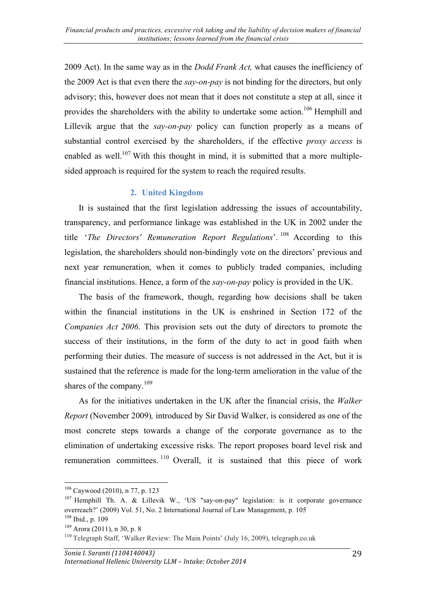2009 Act). In the same way as in the *Dodd Frank Act,* what causes the inefficiency of the 2009 Act is that even there the *say-on-pay* is not binding for the directors, but only advisory; this, however does not mean that it does not constitute a step at all, since it provides the shareholders with the ability to undertake some action.<sup>106</sup> Hemphill and Lillevik argue that the *say-on-pay* policy can function properly as a means of substantial control exercised by the shareholders, if the effective *proxy access* is enabled as well.<sup>107</sup> With this thought in mind, it is submitted that a more multiplesided approach is required for the system to reach the required results.

#### **2. United Kingdom**

It is sustained that the first legislation addressing the issues of accountability, transparency, and performance linkage was established in the UK in 2002 under the title '*The Directors' Remuneration Report Regulations*'. <sup>108</sup> According to this legislation, the shareholders should non-bindingly vote on the directors' previous and next year remuneration, when it comes to publicly traded companies, including financial institutions. Hence, a form of the *say-on-pay* policy is provided in the UK.

The basis of the framework, though, regarding how decisions shall be taken within the financial institutions in the UK is enshrined in Section 172 of the *Companies Act 2006*. This provision sets out the duty of directors to promote the success of their institutions, in the form of the duty to act in good faith when performing their duties. The measure of success is not addressed in the Act, but it is sustained that the reference is made for the long-term amelioration in the value of the shares of the company.<sup>109</sup>

As for the initiatives undertaken in the UK after the financial crisis, the *Walker Report* (November 2009)*,* introduced by Sir David Walker, is considered as one of the most concrete steps towards a change of the corporate governance as to the elimination of undertaking excessive risks. The report proposes board level risk and remuneration committees. <sup>110</sup> Overall, it is sustained that this piece of work

 <sup>106</sup> Caywood (2010), n 77, p. 123

<sup>&</sup>lt;sup>107</sup> Hemphill Th. A. & Lillevik W., 'US "say-on-pay" legislation: is it corporate governance overreach?' (2009) Vol. 51, No. 2 International Journal of Law Management, p. 105 <sup>108</sup> Ibid., p. 109

 $109$  Arora (2011), n 30, p. 8

<sup>110</sup> Telegraph Staff, 'Walker Review: The Main Points' (July 16, 2009), telegraph.co.uk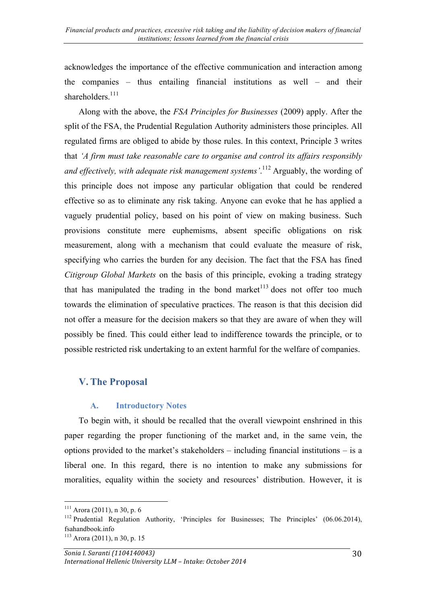acknowledges the importance of the effective communication and interaction among the companies – thus entailing financial institutions as well – and their shareholders. $111$ 

Along with the above, the *FSA Principles for Businesses* (2009) apply. After the split of the FSA, the Prudential Regulation Authority administers those principles. All regulated firms are obliged to abide by those rules. In this context, Principle 3 writes that *'A firm must take reasonable care to organise and control its affairs responsibly and effectively, with adequate risk management systems'*. <sup>112</sup> Arguably, the wording of this principle does not impose any particular obligation that could be rendered effective so as to eliminate any risk taking. Anyone can evoke that he has applied a vaguely prudential policy, based on his point of view on making business. Such provisions constitute mere euphemisms, absent specific obligations on risk measurement, along with a mechanism that could evaluate the measure of risk, specifying who carries the burden for any decision. The fact that the FSA has fined *Citigroup Global Markets* on the basis of this principle, evoking a trading strategy that has manipulated the trading in the bond market<sup>113</sup> does not offer too much towards the elimination of speculative practices. The reason is that this decision did not offer a measure for the decision makers so that they are aware of when they will possibly be fined. This could either lead to indifference towards the principle, or to possible restricted risk undertaking to an extent harmful for the welfare of companies.

### **V. The Proposal**

#### **A. Introductory Notes**

To begin with, it should be recalled that the overall viewpoint enshrined in this paper regarding the proper functioning of the market and, in the same vein, the options provided to the market's stakeholders – including financial institutions – is a liberal one. In this regard, there is no intention to make any submissions for moralities, equality within the society and resources' distribution. However, it is

 $111$  Arora (2011), n 30, p. 6

<sup>&</sup>lt;sup>112</sup> Prudential Regulation Authority, 'Principles for Businesses; The Principles'  $(06.06.2014)$ , fsahandbook.info  $113$  Arora (2011), n 30, p. 15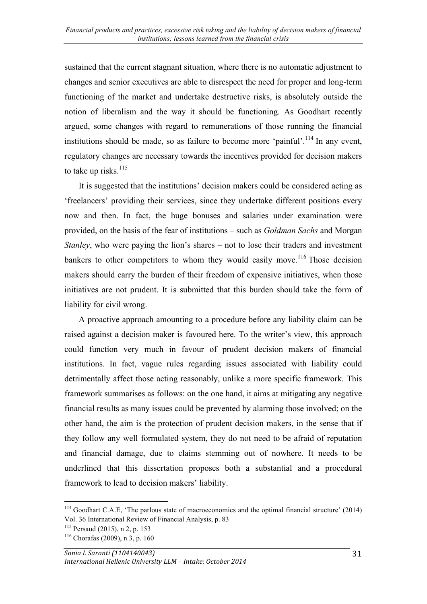sustained that the current stagnant situation, where there is no automatic adjustment to changes and senior executives are able to disrespect the need for proper and long-term functioning of the market and undertake destructive risks, is absolutely outside the notion of liberalism and the way it should be functioning. As Goodhart recently argued, some changes with regard to remunerations of those running the financial institutions should be made, so as failure to become more 'painful'.<sup>114</sup> In any event, regulatory changes are necessary towards the incentives provided for decision makers to take up risks. $115$ 

It is suggested that the institutions' decision makers could be considered acting as 'freelancers' providing their services, since they undertake different positions every now and then. In fact, the huge bonuses and salaries under examination were provided, on the basis of the fear of institutions – such as *Goldman Sachs* and Morgan *Stanley*, who were paying the lion's shares – not to lose their traders and investment bankers to other competitors to whom they would easily move.<sup>116</sup> Those decision makers should carry the burden of their freedom of expensive initiatives, when those initiatives are not prudent. It is submitted that this burden should take the form of liability for civil wrong.

A proactive approach amounting to a procedure before any liability claim can be raised against a decision maker is favoured here. To the writer's view, this approach could function very much in favour of prudent decision makers of financial institutions. In fact, vague rules regarding issues associated with liability could detrimentally affect those acting reasonably, unlike a more specific framework. This framework summarises as follows: on the one hand, it aims at mitigating any negative financial results as many issues could be prevented by alarming those involved; on the other hand, the aim is the protection of prudent decision makers, in the sense that if they follow any well formulated system, they do not need to be afraid of reputation and financial damage, due to claims stemming out of nowhere. It needs to be underlined that this dissertation proposes both a substantial and a procedural framework to lead to decision makers' liability.

<sup>&</sup>lt;sup>114</sup> Goodhart C.A.E, 'The parlous state of macroeconomics and the optimal financial structure' (2014) Vol. 36 International Review of Financial Analysis, p. 83

 $115$  Persaud (2015), n 2, p. 153

 $116$  Chorafas (2009), n 3, p. 160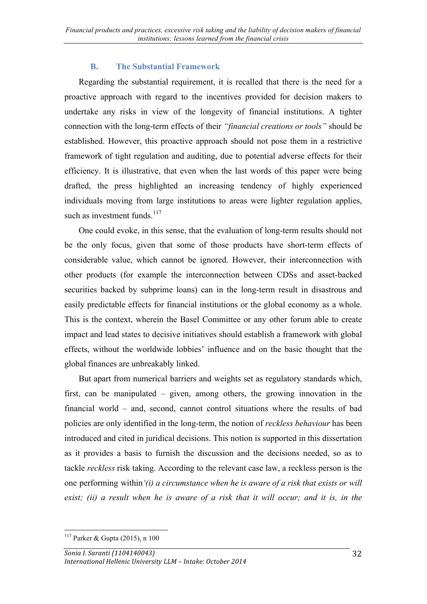#### **B. The Substantial Framework**

Regarding the substantial requirement, it is recalled that there is the need for a proactive approach with regard to the incentives provided for decision makers to undertake any risks in view of the longevity of financial institutions. Α tighter connection with the long-term effects of their *"financial creations or tools"* should be established. However, this proactive approach should not pose them in a restrictive framework of tight regulation and auditing, due to potential adverse effects for their efficiency. It is illustrative, that even when the last words of this paper were being drafted, the press highlighted an increasing tendency of highly experienced individuals moving from large institutions to areas were lighter regulation applies, such as investment funds. $117$ 

One could evoke, in this sense, that the evaluation of long-term results should not be the only focus, given that some of those products have short-term effects of considerable value, which cannot be ignored. However, their interconnection with other products (for example the interconnection between CDSs and asset-backed securities backed by subprime loans) can in the long-term result in disastrous and easily predictable effects for financial institutions or the global economy as a whole. This is the context, wherein the Basel Committee or any other forum able to create impact and lead states to decisive initiatives should establish a framework with global effects, without the worldwide lobbies' influence and on the basic thought that the global finances are unbreakably linked.

But apart from numerical barriers and weights set as regulatory standards which, first, can be manipulated – given, among others, the growing innovation in the financial world – and, second, cannot control situations where the results of bad policies are only identified in the long-term, the notion of *reckless behaviour* has been introduced and cited in juridical decisions. This notion is supported in this dissertation as it provides a basis to furnish the discussion and the decisions needed, so as to tackle *reckless* risk taking. According to the relevant case law, a reckless person is the one performing within*'(i) a circumstance when he is aware of a risk that exists or will exist; (ii) a result when he is aware of a risk that it will occur; and it is, in the* 

  $117$  Parker & Gupta (2015), n 100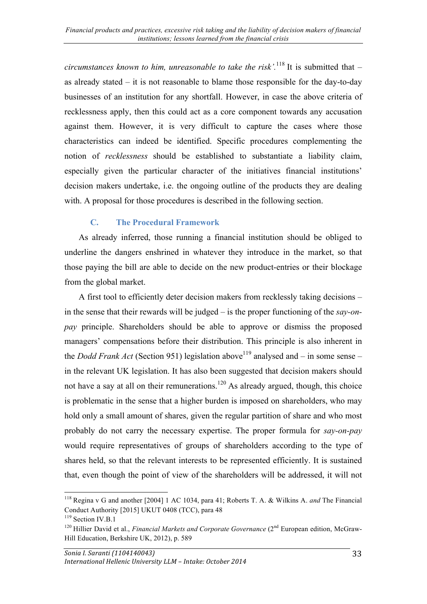*circumstances known to him, unreasonable to take the risk'.*<sup>118</sup> It is submitted that  $$ as already stated – it is not reasonable to blame those responsible for the day-to-day businesses of an institution for any shortfall. However, in case the above criteria of recklessness apply, then this could act as a core component towards any accusation against them. However, it is very difficult to capture the cases where those characteristics can indeed be identified. Specific procedures complementing the notion of *recklessness* should be established to substantiate a liability claim, especially given the particular character of the initiatives financial institutions' decision makers undertake, i.e. the ongoing outline of the products they are dealing with. A proposal for those procedures is described in the following section.

#### **C. The Procedural Framework**

As already inferred, those running a financial institution should be obliged to underline the dangers enshrined in whatever they introduce in the market, so that those paying the bill are able to decide on the new product-entries or their blockage from the global market.

A first tool to efficiently deter decision makers from recklessly taking decisions – in the sense that their rewards will be judged – is the proper functioning of the *say-onpay* principle. Shareholders should be able to approve or dismiss the proposed managers' compensations before their distribution. This principle is also inherent in the *Dodd Frank Act* (Section 951) legislation above<sup>119</sup> analysed and – in some sense – in the relevant UK legislation. It has also been suggested that decision makers should not have a say at all on their remunerations.<sup>120</sup> As already argued, though, this choice is problematic in the sense that a higher burden is imposed on shareholders, who may hold only a small amount of shares, given the regular partition of share and who most probably do not carry the necessary expertise. The proper formula for *say-on-pay* would require representatives of groups of shareholders according to the type of shares held, so that the relevant interests to be represented efficiently. It is sustained that, even though the point of view of the shareholders will be addressed, it will not

 <sup>118</sup> Regina v G and another [2004] 1 AC 1034, para 41; Roberts T. A. & Wilkins A. *and* The Financial Conduct Authority [2015] UKUT 0408 (TCC), para 48

<sup>&</sup>lt;sup>119</sup> Section IV.B.1

<sup>&</sup>lt;sup>120</sup> Hillier David et al., *Financial Markets and Corporate Governance* (2<sup>nd</sup> European edition, McGraw-Hill Education, Berkshire UK, 2012), p. 589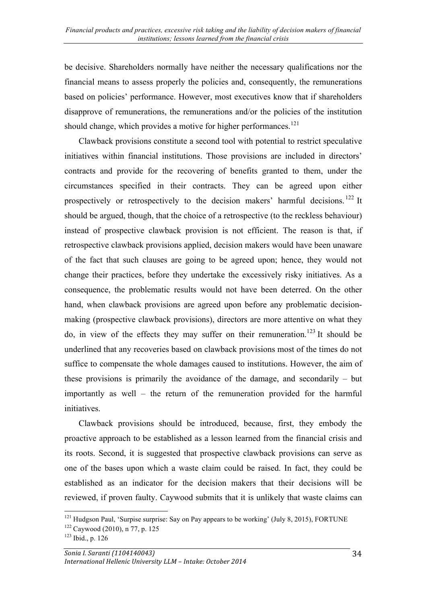be decisive. Shareholders normally have neither the necessary qualifications nor the financial means to assess properly the policies and, consequently, the remunerations based on policies' performance. However, most executives know that if shareholders disapprove of remunerations, the remunerations and/or the policies of the institution should change, which provides a motive for higher performances.<sup>121</sup>

Clawback provisions constitute a second tool with potential to restrict speculative initiatives within financial institutions. Those provisions are included in directors' contracts and provide for the recovering of benefits granted to them, under the circumstances specified in their contracts. They can be agreed upon either prospectively or retrospectively to the decision makers' harmful decisions.<sup>122</sup> It should be argued, though, that the choice of a retrospective (to the reckless behaviour) instead of prospective clawback provision is not efficient. The reason is that, if retrospective clawback provisions applied, decision makers would have been unaware of the fact that such clauses are going to be agreed upon; hence, they would not change their practices, before they undertake the excessively risky initiatives. As a consequence, the problematic results would not have been deterred. On the other hand, when clawback provisions are agreed upon before any problematic decisionmaking (prospective clawback provisions), directors are more attentive on what they do, in view of the effects they may suffer on their remuneration. <sup>123</sup> It should be underlined that any recoveries based on clawback provisions most of the times do not suffice to compensate the whole damages caused to institutions. However, the aim of these provisions is primarily the avoidance of the damage, and secondarily – but importantly as well – the return of the remuneration provided for the harmful initiatives.

Clawback provisions should be introduced, because, first, they embody the proactive approach to be established as a lesson learned from the financial crisis and its roots. Second, it is suggested that prospective clawback provisions can serve as one of the bases upon which a waste claim could be raised. In fact, they could be established as an indicator for the decision makers that their decisions will be reviewed, if proven faulty. Caywood submits that it is unlikely that waste claims can

 $121$  Hudgson Paul, 'Surpise surprise: Say on Pay appears to be working' (July 8, 2015), FORTUNE <sup>122</sup> Caywood (2010), n 77, p. 125

<sup>123</sup> Ibid., p. 126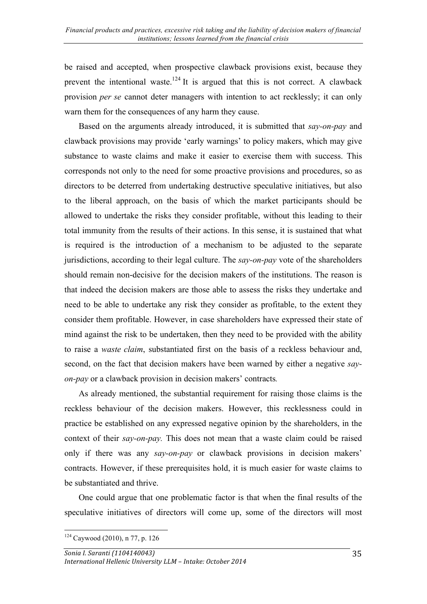be raised and accepted, when prospective clawback provisions exist, because they prevent the intentional waste.<sup>124</sup> It is argued that this is not correct. A clawback provision *per se* cannot deter managers with intention to act recklessly; it can only warn them for the consequences of any harm they cause.

Based on the arguments already introduced, it is submitted that *say-on-pay* and clawback provisions may provide 'early warnings' to policy makers, which may give substance to waste claims and make it easier to exercise them with success. This corresponds not only to the need for some proactive provisions and procedures, so as directors to be deterred from undertaking destructive speculative initiatives, but also to the liberal approach, on the basis of which the market participants should be allowed to undertake the risks they consider profitable, without this leading to their total immunity from the results of their actions. In this sense, it is sustained that what is required is the introduction of a mechanism to be adjusted to the separate jurisdictions, according to their legal culture. The *say-on-pay* vote of the shareholders should remain non-decisive for the decision makers of the institutions. The reason is that indeed the decision makers are those able to assess the risks they undertake and need to be able to undertake any risk they consider as profitable, to the extent they consider them profitable. However, in case shareholders have expressed their state of mind against the risk to be undertaken, then they need to be provided with the ability to raise a *waste claim*, substantiated first on the basis of a reckless behaviour and, second, on the fact that decision makers have been warned by either a negative *sayon-pay* or a clawback provision in decision makers' contracts*.*

As already mentioned, the substantial requirement for raising those claims is the reckless behaviour of the decision makers. However, this recklessness could in practice be established on any expressed negative opinion by the shareholders, in the context of their *say-on-pay.* This does not mean that a waste claim could be raised only if there was any *say-on-pay* or clawback provisions in decision makers' contracts. However, if these prerequisites hold, it is much easier for waste claims to be substantiated and thrive.

One could argue that one problematic factor is that when the final results of the speculative initiatives of directors will come up, some of the directors will most

  $124$  Caywood (2010), n 77, p. 126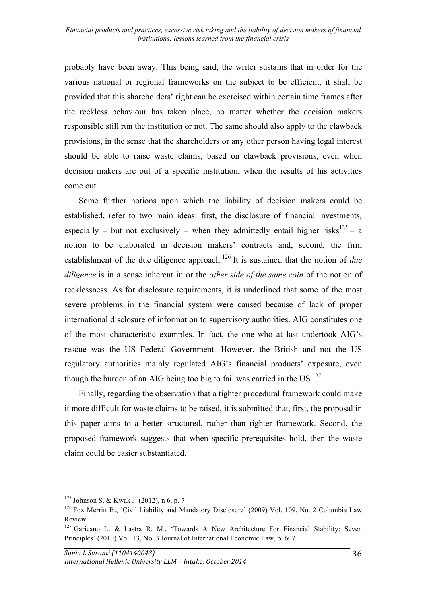probably have been away. This being said, the writer sustains that in order for the various national or regional frameworks on the subject to be efficient, it shall be provided that this shareholders' right can be exercised within certain time frames after the reckless behaviour has taken place, no matter whether the decision makers responsible still run the institution or not. The same should also apply to the clawback provisions, in the sense that the shareholders or any other person having legal interest should be able to raise waste claims, based on clawback provisions, even when decision makers are out of a specific institution, when the results of his activities come out.

Some further notions upon which the liability of decision makers could be established, refer to two main ideas: first, the disclosure of financial investments, especially – but not exclusively – when they admittedly entail higher risks<sup>125</sup> – a notion to be elaborated in decision makers' contracts and, second, the firm establishment of the due diligence approach.<sup>126</sup> It is sustained that the notion of *due diligence* is in a sense inherent in or the *other side of the same coin* of the notion of recklessness. As for disclosure requirements, it is underlined that some of the most severe problems in the financial system were caused because of lack of proper international disclosure of information to supervisory authorities. AIG constitutes one of the most characteristic examples. In fact, the one who at last undertook AIG's rescue was the US Federal Government. However, the British and not the US regulatory authorities mainly regulated AIG's financial products' exposure, even though the burden of an AIG being too big to fail was carried in the  $US$ .<sup>127</sup>

Finally, regarding the observation that a tighter procedural framework could make it more difficult for waste claims to be raised, it is submitted that, first, the proposal in this paper aims to a better structured, rather than tighter framework. Second, the proposed framework suggests that when specific prerequisites hold, then the waste claim could be easier substantiated.

 $125$  Johnson S. & Kwak J. (2012), n 6, p. 7

<sup>126</sup> Fox Merritt B., 'Civil Liability and Mandatory Disclosure' (2009) Vol. 109, No. 2 Columbia Law Review

 $127$  Garicano L. & Lastra R. M., 'Towards A New Architecture For Financial Stability: Seven Principles' (2010) Vol. 13, No. 3 Journal of International Economic Law, p. 607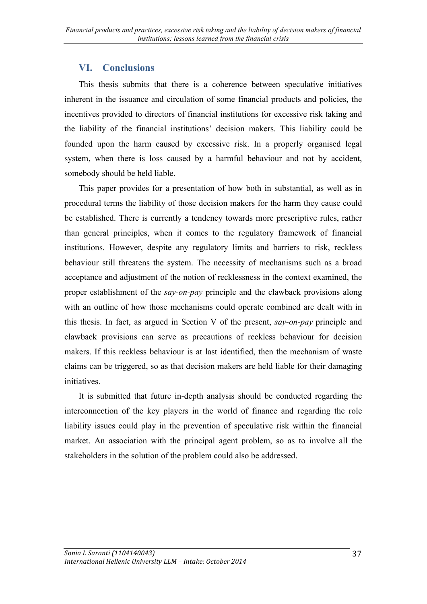## **VI. Conclusions**

This thesis submits that there is a coherence between speculative initiatives inherent in the issuance and circulation of some financial products and policies, the incentives provided to directors of financial institutions for excessive risk taking and the liability of the financial institutions' decision makers. This liability could be founded upon the harm caused by excessive risk. In a properly organised legal system, when there is loss caused by a harmful behaviour and not by accident, somebody should be held liable.

This paper provides for a presentation of how both in substantial, as well as in procedural terms the liability of those decision makers for the harm they cause could be established. There is currently a tendency towards more prescriptive rules, rather than general principles, when it comes to the regulatory framework of financial institutions. However, despite any regulatory limits and barriers to risk, reckless behaviour still threatens the system. The necessity of mechanisms such as a broad acceptance and adjustment of the notion of recklessness in the context examined, the proper establishment of the *say-on-pay* principle and the clawback provisions along with an outline of how those mechanisms could operate combined are dealt with in this thesis. In fact, as argued in Section V of the present, *say-on-pay* principle and clawback provisions can serve as precautions of reckless behaviour for decision makers. If this reckless behaviour is at last identified, then the mechanism of waste claims can be triggered, so as that decision makers are held liable for their damaging *initiatives* 

It is submitted that future in-depth analysis should be conducted regarding the interconnection of the key players in the world of finance and regarding the role liability issues could play in the prevention of speculative risk within the financial market. An association with the principal agent problem, so as to involve all the stakeholders in the solution of the problem could also be addressed.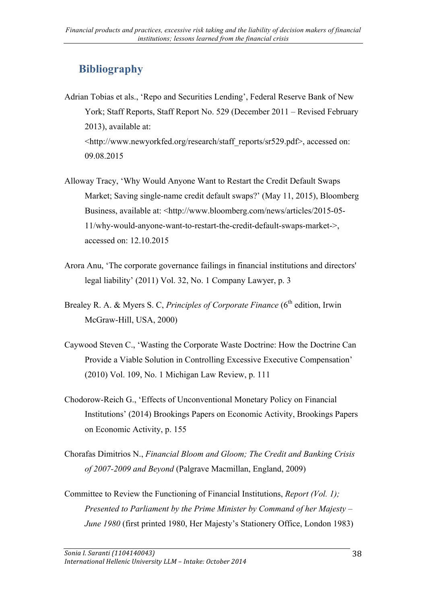# **Bibliography**

- Adrian Tobias et als., 'Repo and Securities Lending', Federal Reserve Bank of New York; Staff Reports, Staff Report No. 529 (December 2011 – Revised February 2013), available at: <http://www.newyorkfed.org/research/staff\_reports/sr529.pdf>, accessed on: 09.08.2015
- Alloway Tracy, 'Why Would Anyone Want to Restart the Credit Default Swaps Market; Saving single-name credit default swaps?' (May 11, 2015), Bloomberg Business, available at: <http://www.bloomberg.com/news/articles/2015-05-11/why-would-anyone-want-to-restart-the-credit-default-swaps-market->, accessed on: 12.10.2015
- Arora Anu, 'The corporate governance failings in financial institutions and directors' legal liability' (2011) Vol. 32, No. 1 Company Lawyer, p. 3
- Brealey R. A. & Myers S. C, *Principles of Corporate Finance* (6<sup>th</sup> edition, Irwin McGraw-Hill, USA, 2000)
- Caywood Steven C., 'Wasting the Corporate Waste Doctrine: How the Doctrine Can Provide a Viable Solution in Controlling Excessive Executive Compensation' (2010) Vol. 109, No. 1 Michigan Law Review, p. 111
- Chodorow-Reich G., 'Effects of Unconventional Monetary Policy on Financial Institutions' (2014) Brookings Papers on Economic Activity, Brookings Papers on Economic Activity, p. 155
- Chorafas Dimitrios N., *Financial Bloom and Gloom; The Credit and Banking Crisis of 2007-2009 and Beyond* (Palgrave Macmillan, England, 2009)
- Committee to Review the Functioning of Financial Institutions, *Report (Vol. 1); Presented to Parliament by the Prime Minister by Command of her Majesty – June 1980* (first printed 1980, Her Majesty's Stationery Office, London 1983)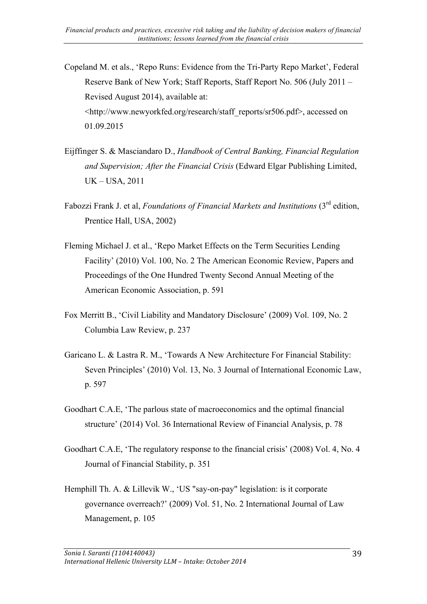Copeland M. et als., 'Repo Runs: Evidence from the Tri-Party Repo Market', Federal Reserve Bank of New York; Staff Reports, Staff Report No. 506 (July 2011 – Revised August 2014), available at: <http://www.newyorkfed.org/research/staff\_reports/sr506.pdf>, accessed on 01.09.2015

- Eijffinger S. & Masciandaro D., *Handbook of Central Banking, Financial Regulation and Supervision; After the Financial Crisis* (Edward Elgar Publishing Limited, UK – USA, 2011
- Fabozzi Frank J. et al, *Foundations of Financial Markets and Institutions* (3rd edition, Prentice Hall, USA, 2002)
- Fleming Michael J. et al., 'Repo Market Effects on the Term Securities Lending Facility' (2010) Vol. 100, No. 2 The American Economic Review, Papers and Proceedings of the One Hundred Twenty Second Annual Meeting of the American Economic Association, p. 591
- Fox Merritt B., 'Civil Liability and Mandatory Disclosure' (2009) Vol. 109, No. 2 Columbia Law Review, p. 237
- Garicano L. & Lastra R. M., 'Towards A New Architecture For Financial Stability: Seven Principles' (2010) Vol. 13, No. 3 Journal of International Economic Law, p. 597
- Goodhart C.A.E, 'The parlous state of macroeconomics and the optimal financial structure' (2014) Vol. 36 International Review of Financial Analysis, p. 78
- Goodhart C.A.E, 'The regulatory response to the financial crisis' (2008) Vol. 4, Νο. 4 Journal of Financial Stability, p. 351
- Hemphill Th. A. & Lillevik W., 'US "say-on-pay" legislation: is it corporate governance overreach?' (2009) Vol. 51, No. 2 International Journal of Law Management, p. 105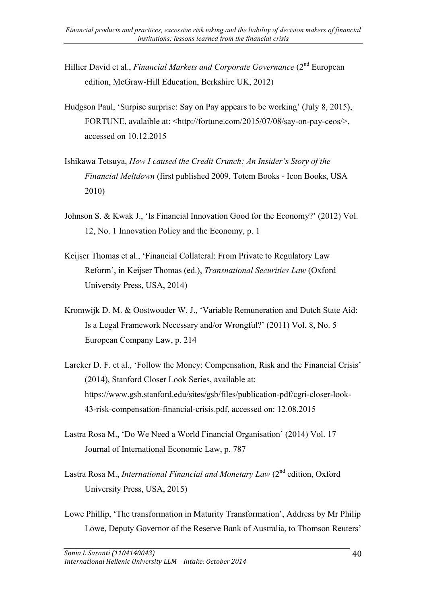- Hillier David et al., *Financial Markets and Corporate Governance* (2<sup>nd</sup> European edition, McGraw-Hill Education, Berkshire UK, 2012)
- Hudgson Paul, 'Surpise surprise: Say on Pay appears to be working' (July 8, 2015), FORTUNE, avalaible at: <http://fortune.com/2015/07/08/say-on-pay-ceos/>, accessed on 10.12.2015
- Ishikawa Tetsuya, *How I caused the Credit Crunch; An Insider's Story of the Financial Meltdown* (first published 2009, Totem Books - Icon Books, USA 2010)
- Johnson S. & Kwak J., 'Is Financial Innovation Good for the Economy?' (2012) Vol. 12, No. 1 Innovation Policy and the Economy, p. 1
- Keijser Thomas et al., 'Financial Collateral: From Private to Regulatory Law Reform', in Keijser Thomas (ed.), *Transnational Securities Law* (Oxford University Press, USA, 2014)
- Kromwijk D. M. & Oostwouder W. J., 'Variable Remuneration and Dutch State Aid: Is a Legal Framework Necessary and/or Wrongful?' (2011) Vol. 8, No. 5 European Company Law, p. 214
- Larcker D. F. et al., 'Follow the Money: Compensation, Risk and the Financial Crisis' (2014), Stanford Closer Look Series, available at: https://www.gsb.stanford.edu/sites/gsb/files/publication-pdf/cgri-closer-look-43-risk-compensation-financial-crisis.pdf, accessed on: 12.08.2015
- Lastra Rosa M., 'Do We Need a World Financial Organisation' (2014) Vol. 17 Journal of International Economic Law, p. 787
- Lastra Rosa M., *International Financial and Monetary Law* (2<sup>nd</sup> edition, Oxford University Press, USA, 2015)
- Lowe Phillip, 'The transformation in Maturity Transformation', Address by Mr Philip Lowe, Deputy Governor of the Reserve Bank of Australia, to Thomson Reuters'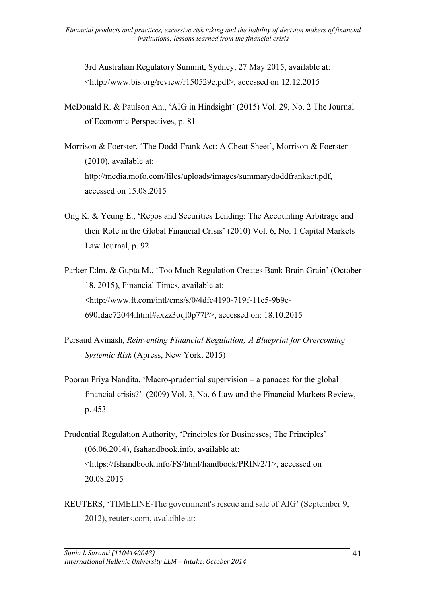3rd Australian Regulatory Summit, Sydney, 27 May 2015, available at: <http://www.bis.org/review/r150529c.pdf>, accessed on 12.12.2015

- McDonald R. & Paulson An., 'AIG in Hindsight' (2015) Vol. 29, No. 2 The Journal of Economic Perspectives, p. 81
- Morrison & Foerster, 'The Dodd-Frank Act: A Cheat Sheet', Morrison & Foerster (2010), available at: http://media.mofo.com/files/uploads/images/summarydoddfrankact.pdf, accessed on 15.08.2015
- Ong K. & Yeung E., 'Repos and Securities Lending: The Accounting Arbitrage and their Role in the Global Financial Crisis' (2010) Vol. 6, No. 1 Capital Markets Law Journal, p. 92
- Parker Edm. & Gupta M., 'Too Much Regulation Creates Bank Brain Grain' (October 18, 2015), Financial Times, available at: <http://www.ft.com/intl/cms/s/0/4dfc4190-719f-11e5-9b9e-690fdae72044.html#axzz3oql0p77P>, accessed on: 18.10.2015
- Persaud Avinash, *Reinventing Financial Regulation; A Blueprint for Overcoming Systemic Risk* (Apress, New York, 2015)
- Pooran Priya Nandita, 'Macro-prudential supervision a panacea for the global financial crisis?' (2009) Vol. 3, No. 6 Law and the Financial Markets Review, p. 453
- Prudential Regulation Authority, 'Principles for Businesses; The Principles' (06.06.2014), fsahandbook.info, available at: <https://fshandbook.info/FS/html/handbook/PRIN/2/1>, accessed on 20.08.2015
- REUTERS, 'TIMELINE-The government's rescue and sale of AIG' (September 9, 2012), reuters.com, avalaible at: